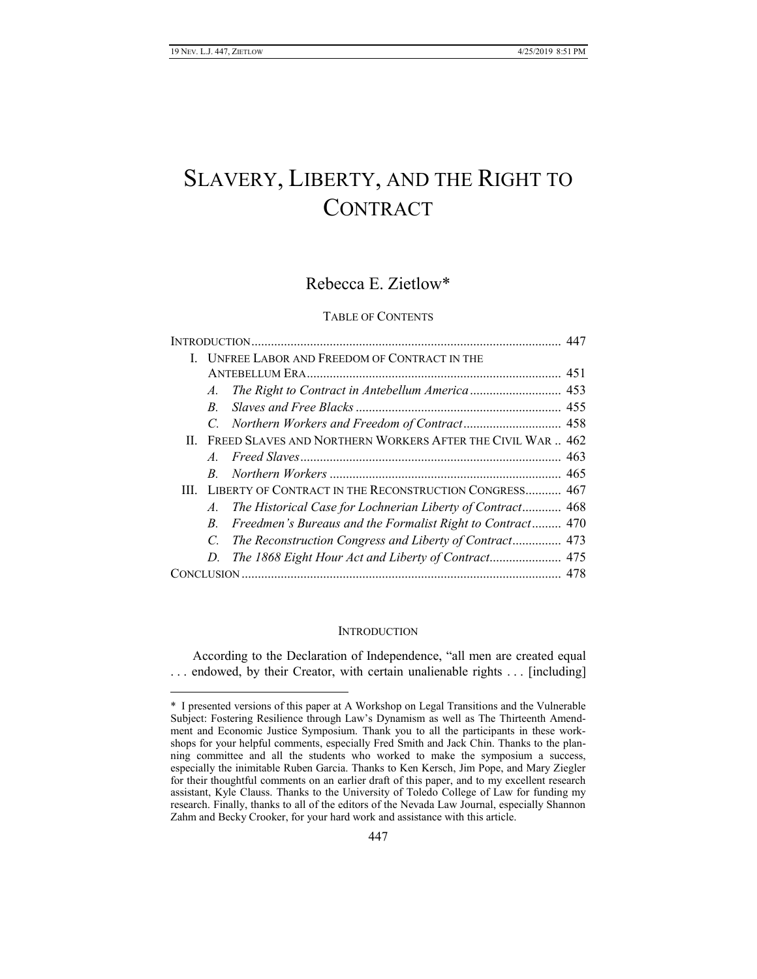$\overline{a}$ 

# SLAVERY, LIBERTY, AND THE RIGHT TO **CONTRACT**

# Rebecca E. Zietlow\*

# TABLE OF CONTENTS

|    | I. UNFREE LABOR AND FREEDOM OF CONTRACT IN THE                     |                                                            |  |
|----|--------------------------------------------------------------------|------------------------------------------------------------|--|
|    |                                                                    |                                                            |  |
|    | $A_{-}$                                                            |                                                            |  |
|    | $B_{-}$                                                            |                                                            |  |
|    | $C_{\cdot}$                                                        |                                                            |  |
| Н. | FREED SLAVES AND NORTHERN WORKERS AFTER THE CIVIL WAR 462          |                                                            |  |
|    | $A_{-}$                                                            |                                                            |  |
|    | $B_{-}$                                                            |                                                            |  |
|    | <b>III. LIBERTY OF CONTRACT IN THE RECONSTRUCTION CONGRESS 467</b> |                                                            |  |
|    | A.                                                                 | The Historical Case for Lochnerian Liberty of Contract 468 |  |
|    | $B_{-}$                                                            | Freedmen's Bureaus and the Formalist Right to Contract 470 |  |
|    | C                                                                  | The Reconstruction Congress and Liberty of Contract 473    |  |
|    | D.                                                                 |                                                            |  |
|    |                                                                    |                                                            |  |
|    |                                                                    |                                                            |  |

# **INTRODUCTION**

According to the Declaration of Independence, "all men are created equal . . . endowed, by their Creator, with certain unalienable rights . . . [including]

<sup>\*</sup> I presented versions of this paper at A Workshop on Legal Transitions and the Vulnerable Subject: Fostering Resilience through Law's Dynamism as well as The Thirteenth Amendment and Economic Justice Symposium. Thank you to all the participants in these workshops for your helpful comments, especially Fred Smith and Jack Chin. Thanks to the planning committee and all the students who worked to make the symposium a success, especially the inimitable Ruben Garcia. Thanks to Ken Kersch, Jim Pope, and Mary Ziegler for their thoughtful comments on an earlier draft of this paper, and to my excellent research assistant, Kyle Clauss. Thanks to the University of Toledo College of Law for funding my research. Finally, thanks to all of the editors of the Nevada Law Journal, especially Shannon Zahm and Becky Crooker, for your hard work and assistance with this article.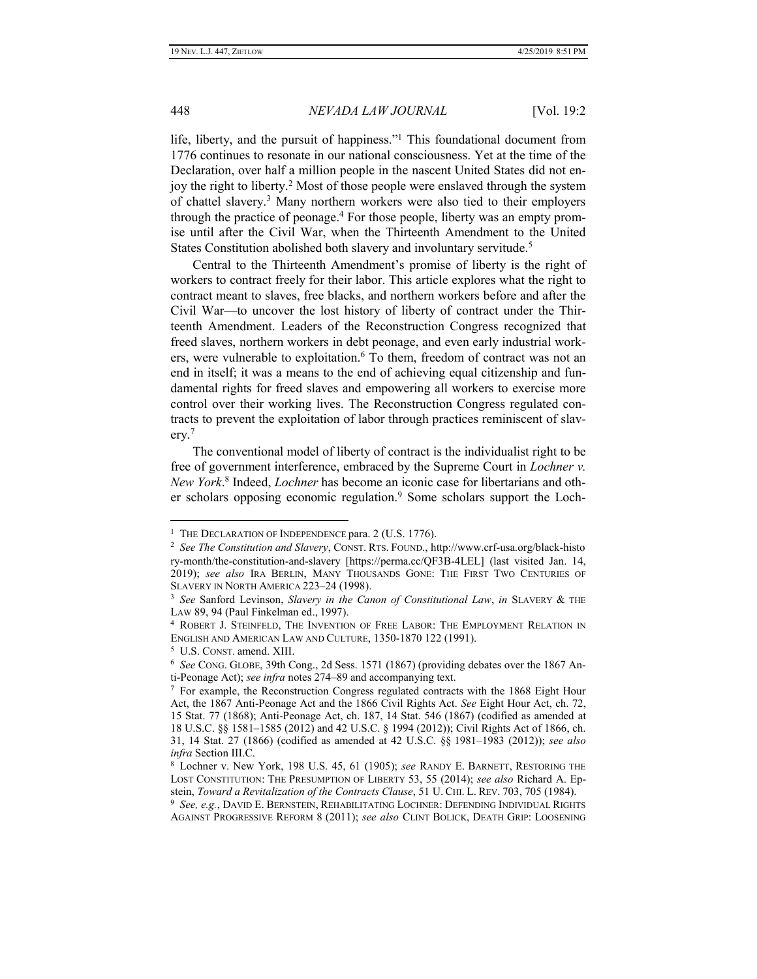life, liberty, and the pursuit of happiness."<sup>1</sup> This foundational document from 1776 continues to resonate in our national consciousness. Yet at the time of the Declaration, over half a million people in the nascent United States did not enjoy the right to liberty.<sup>2</sup> Most of those people were enslaved through the system of chattel slavery.<sup>3</sup> Many northern workers were also tied to their employers through the practice of peonage.<sup>4</sup> For those people, liberty was an empty promise until after the Civil War, when the Thirteenth Amendment to the United States Constitution abolished both slavery and involuntary servitude.<sup>5</sup>

Central to the Thirteenth Amendment's promise of liberty is the right of workers to contract freely for their labor. This article explores what the right to contract meant to slaves, free blacks, and northern workers before and after the Civil War—to uncover the lost history of liberty of contract under the Thirteenth Amendment. Leaders of the Reconstruction Congress recognized that freed slaves, northern workers in debt peonage, and even early industrial workers, were vulnerable to exploitation.<sup>6</sup> To them, freedom of contract was not an end in itself; it was a means to the end of achieving equal citizenship and fundamental rights for freed slaves and empowering all workers to exercise more control over their working lives. The Reconstruction Congress regulated contracts to prevent the exploitation of labor through practices reminiscent of slavery.<sup>7</sup>

The conventional model of liberty of contract is the individualist right to be free of government interference, embraced by the Supreme Court in *Lochner v. New York*. 8 Indeed, *Lochner* has become an iconic case for libertarians and other scholars opposing economic regulation.<sup>9</sup> Some scholars support the Loch-

<sup>&</sup>lt;sup>1</sup> THE DECLARATION OF INDEPENDENCE para. 2 (U.S. 1776).

<sup>2</sup>  *See The Constitution and Slavery*, CONST. RTS. FOUND., http://www.crf-usa.org/black-histo ry-month/the-constitution-and-slavery [https://perma.cc/QF3B-4LEL] (last visited Jan. 14, 2019); *see also* IRA BERLIN, MANY THOUSANDS GONE: THE FIRST TWO CENTURIES OF SLAVERY IN NORTH AMERICA 223–24 (1998).

<sup>3</sup> *See* Sanford Levinson, *Slavery in the Canon of Constitutional Law*, *in* SLAVERY & THE LAW 89, 94 (Paul Finkelman ed., 1997).

<sup>4</sup> ROBERT J. STEINFELD, THE INVENTION OF FREE LABOR: THE EMPLOYMENT RELATION IN ENGLISH AND AMERICAN LAW AND CULTURE, 1350-1870 122 (1991).

<sup>5</sup> U.S. CONST. amend. XIII.

<sup>6</sup> *See* CONG. GLOBE, 39th Cong., 2d Sess. 1571 (1867) (providing debates over the 1867 Anti-Peonage Act); *see infra* notes 274–89 and accompanying text.

<sup>&</sup>lt;sup>7</sup> For example, the Reconstruction Congress regulated contracts with the 1868 Eight Hour Act, the 1867 Anti-Peonage Act and the 1866 Civil Rights Act. *See* Eight Hour Act, ch. 72, 15 Stat. 77 (1868); Anti-Peonage Act, ch. 187, 14 Stat. 546 (1867) (codified as amended at 18 U.S.C. §§ 1581–1585 (2012) and 42 U.S.C. § 1994 (2012)); Civil Rights Act of 1866, ch. 31, 14 Stat. 27 (1866) (codified as amended at 42 U.S.C. §§ 1981–1983 (2012)); *see also infra* Section III.C.

<sup>8</sup> Lochner v. New York, 198 U.S. 45, 61 (1905); *see* RANDY E. BARNETT, RESTORING THE LOST CONSTITUTION: THE PRESUMPTION OF LIBERTY 53, 55 (2014); *see also* Richard A. Epstein, *Toward a Revitalization of the Contracts Clause*, 51 U. CHI. L. REV. 703, 705 (1984).

<sup>9</sup> *See, e.g.*, DAVID E. BERNSTEIN, REHABILITATING LOCHNER: DEFENDING INDIVIDUAL RIGHTS AGAINST PROGRESSIVE REFORM 8 (2011); *see also* CLINT BOLICK, DEATH GRIP: LOOSENING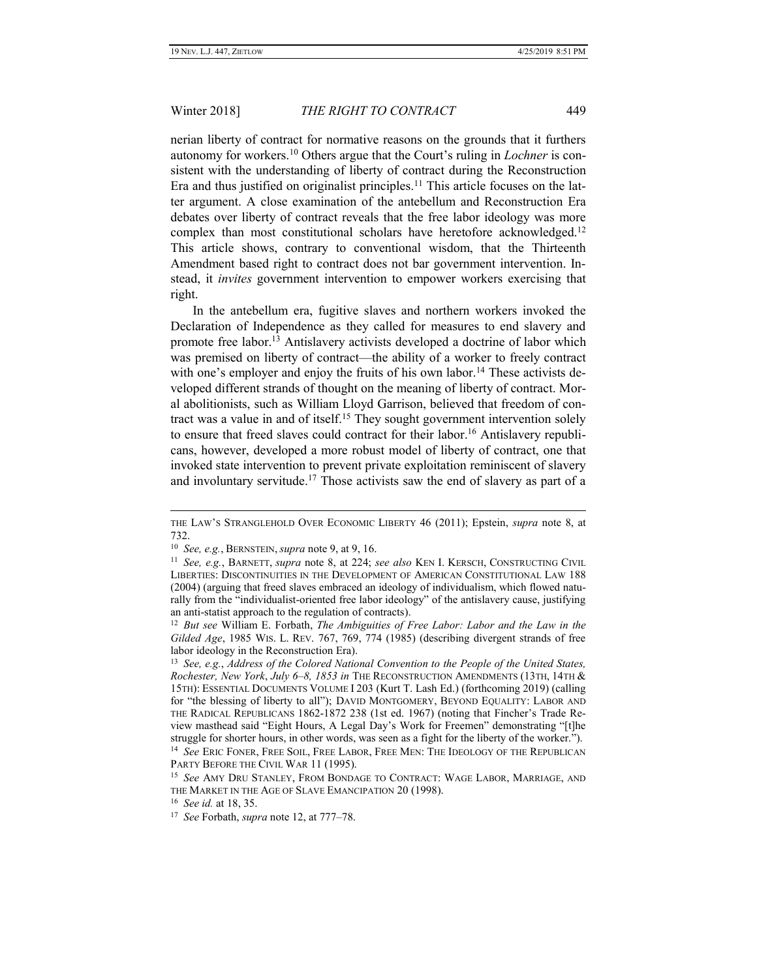nerian liberty of contract for normative reasons on the grounds that it furthers autonomy for workers.<sup>10</sup> Others argue that the Court's ruling in *Lochner* is consistent with the understanding of liberty of contract during the Reconstruction Era and thus justified on originalist principles.<sup>11</sup> This article focuses on the latter argument. A close examination of the antebellum and Reconstruction Era debates over liberty of contract reveals that the free labor ideology was more complex than most constitutional scholars have heretofore acknowledged.<sup>12</sup> This article shows, contrary to conventional wisdom, that the Thirteenth Amendment based right to contract does not bar government intervention. Instead, it *invites* government intervention to empower workers exercising that right.

In the antebellum era, fugitive slaves and northern workers invoked the Declaration of Independence as they called for measures to end slavery and promote free labor.<sup>13</sup> Antislavery activists developed a doctrine of labor which was premised on liberty of contract—the ability of a worker to freely contract with one's employer and enjoy the fruits of his own labor.<sup>14</sup> These activists developed different strands of thought on the meaning of liberty of contract. Moral abolitionists, such as William Lloyd Garrison, believed that freedom of contract was a value in and of itself.<sup>15</sup> They sought government intervention solely to ensure that freed slaves could contract for their labor.<sup>16</sup> Antislavery republicans, however, developed a more robust model of liberty of contract, one that invoked state intervention to prevent private exploitation reminiscent of slavery and involuntary servitude.<sup>17</sup> Those activists saw the end of slavery as part of a

THE LAW'S STRANGLEHOLD OVER ECONOMIC LIBERTY 46 (2011); Epstein, *supra* note 8, at 732.

<sup>10</sup> *See, e.g.*, BERNSTEIN, *supra* note 9, at 9, 16.

<sup>11</sup> *See, e.g.*, BARNETT, *supra* note 8, at 224; *see also* KEN I. KERSCH, CONSTRUCTING CIVIL LIBERTIES: DISCONTINUITIES IN THE DEVELOPMENT OF AMERICAN CONSTITUTIONAL LAW 188 (2004) (arguing that freed slaves embraced an ideology of individualism, which flowed naturally from the "individualist-oriented free labor ideology" of the antislavery cause, justifying an anti-statist approach to the regulation of contracts).

<sup>12</sup> *But see* William E. Forbath, *The Ambiguities of Free Labor: Labor and the Law in the Gilded Age*, 1985 WIS. L. REV. 767, 769, 774 (1985) (describing divergent strands of free labor ideology in the Reconstruction Era).

<sup>13</sup> *See, e.g.*, *Address of the Colored National Convention to the People of the United States, Rochester, New York*, *July 6–8, 1853 in* THE RECONSTRUCTION AMENDMENTS (13TH, 14TH & 15TH): ESSENTIAL DOCUMENTS VOLUME I 203 (Kurt T. Lash Ed.) (forthcoming 2019) (calling for "the blessing of liberty to all"); DAVID MONTGOMERY, BEYOND EQUALITY: LABOR AND THE RADICAL REPUBLICANS 1862-1872 238 (1st ed. 1967) (noting that Fincher's Trade Review masthead said "Eight Hours, A Legal Day's Work for Freemen" demonstrating "[t]he struggle for shorter hours, in other words, was seen as a fight for the liberty of the worker."). 14 *See* ERIC FONER, FREE SOIL, FREE LABOR, FREE MEN: THE IDEOLOGY OF THE REPUBLICAN PARTY BEFORE THE CIVIL WAR 11 (1995).

<sup>15</sup> *See* AMY DRU STANLEY, FROM BONDAGE TO CONTRACT: WAGE LABOR, MARRIAGE, AND THE MARKET IN THE AGE OF SLAVE EMANCIPATION 20 (1998).

<sup>16</sup> *See id.* at 18, 35.

<sup>17</sup> *See* Forbath, *supra* note 12, at 777–78.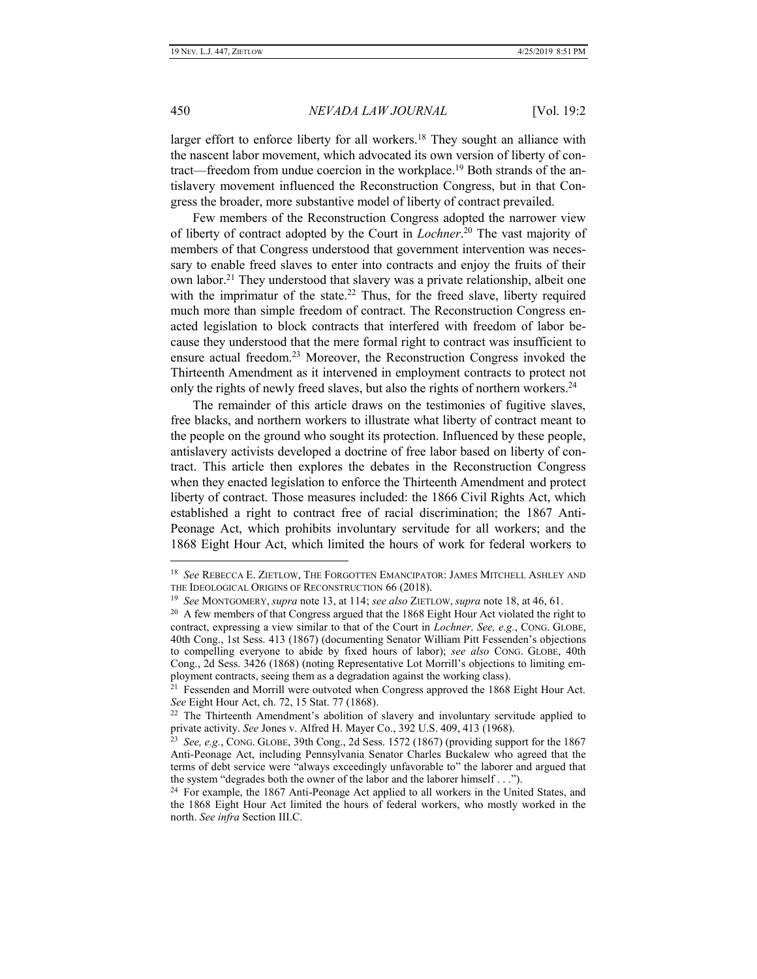larger effort to enforce liberty for all workers.<sup>18</sup> They sought an alliance with the nascent labor movement, which advocated its own version of liberty of contract—freedom from undue coercion in the workplace.<sup>19</sup> Both strands of the antislavery movement influenced the Reconstruction Congress, but in that Congress the broader, more substantive model of liberty of contract prevailed.

Few members of the Reconstruction Congress adopted the narrower view of liberty of contract adopted by the Court in *Lochner*. <sup>20</sup> The vast majority of members of that Congress understood that government intervention was necessary to enable freed slaves to enter into contracts and enjoy the fruits of their own labor.<sup>21</sup> They understood that slavery was a private relationship, albeit one with the imprimatur of the state.<sup>22</sup> Thus, for the freed slave, liberty required much more than simple freedom of contract. The Reconstruction Congress enacted legislation to block contracts that interfered with freedom of labor because they understood that the mere formal right to contract was insufficient to ensure actual freedom.<sup>23</sup> Moreover, the Reconstruction Congress invoked the Thirteenth Amendment as it intervened in employment contracts to protect not only the rights of newly freed slaves, but also the rights of northern workers.<sup>24</sup>

The remainder of this article draws on the testimonies of fugitive slaves, free blacks, and northern workers to illustrate what liberty of contract meant to the people on the ground who sought its protection. Influenced by these people, antislavery activists developed a doctrine of free labor based on liberty of contract. This article then explores the debates in the Reconstruction Congress when they enacted legislation to enforce the Thirteenth Amendment and protect liberty of contract. Those measures included: the 1866 Civil Rights Act, which established a right to contract free of racial discrimination; the 1867 Anti-Peonage Act, which prohibits involuntary servitude for all workers; and the 1868 Eight Hour Act, which limited the hours of work for federal workers to

<sup>18</sup> *See* REBECCA E. ZIETLOW, THE FORGOTTEN EMANCIPATOR: JAMES MITCHELL ASHLEY AND THE IDEOLOGICAL ORIGINS OF RECONSTRUCTION 66 (2018).

<sup>19</sup> *See* MONTGOMERY, *supra* note 13, at 114; *see also* ZIETLOW, *supra* note 18, at 46, 61.

 $20$  A few members of that Congress argued that the 1868 Eight Hour Act violated the right to contract, expressing a view similar to that of the Court in *Lochner*. *See, e.g.*, CONG. GLOBE, 40th Cong., 1st Sess. 413 (1867) (documenting Senator William Pitt Fessenden's objections to compelling everyone to abide by fixed hours of labor); *see also* CONG. GLOBE, 40th Cong., 2d Sess. 3426 (1868) (noting Representative Lot Morrill's objections to limiting employment contracts, seeing them as a degradation against the working class).

<sup>&</sup>lt;sup>21</sup> Fessenden and Morrill were outvoted when Congress approved the 1868 Eight Hour Act. *See* Eight Hour Act, ch. 72, 15 Stat. 77 (1868).

 $22$  The Thirteenth Amendment's abolition of slavery and involuntary servitude applied to private activity. *See* Jones v. Alfred H. Mayer Co., 392 U.S. 409, 413 (1968).

<sup>23</sup> *See, e.g.*, CONG. GLOBE, 39th Cong., 2d Sess. 1572 (1867) (providing support for the 1867 Anti-Peonage Act, including Pennsylvania Senator Charles Buckalew who agreed that the terms of debt service were "always exceedingly unfavorable to" the laborer and argued that the system "degrades both the owner of the labor and the laborer himself . . .").

<sup>&</sup>lt;sup>24</sup> For example, the 1867 Anti-Peonage Act applied to all workers in the United States, and the 1868 Eight Hour Act limited the hours of federal workers, who mostly worked in the north. *See infra* Section III.C.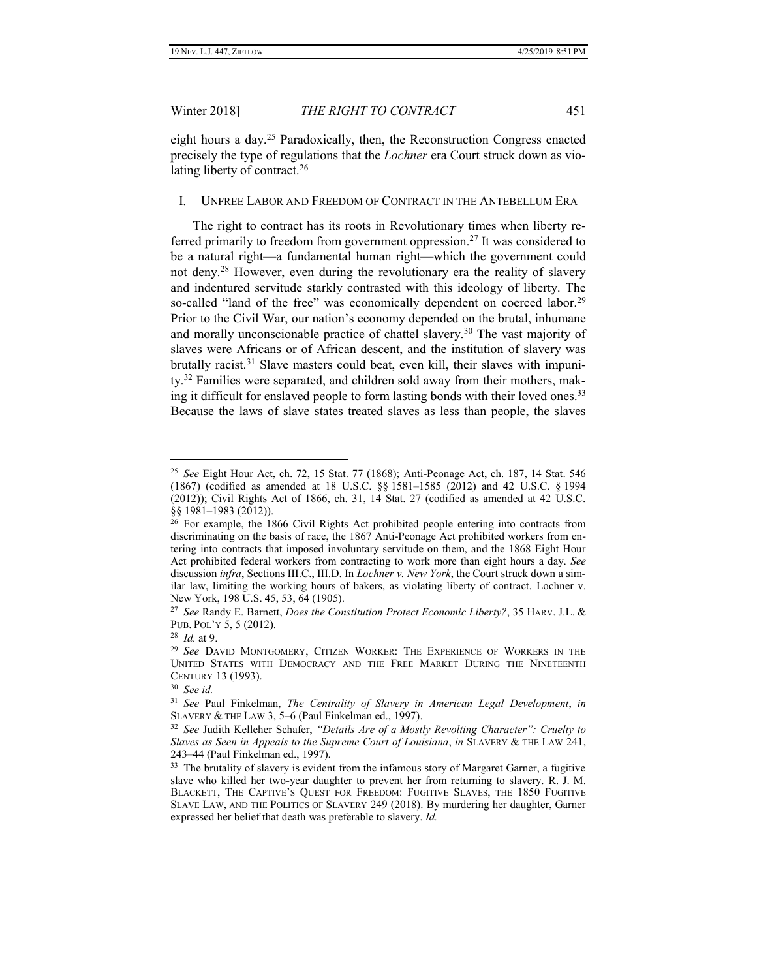eight hours a day.<sup>25</sup> Paradoxically, then, the Reconstruction Congress enacted precisely the type of regulations that the *Lochner* era Court struck down as violating liberty of contract.<sup>26</sup>

# I. UNFREE LABOR AND FREEDOM OF CONTRACT IN THE ANTEBELLUM ERA

The right to contract has its roots in Revolutionary times when liberty referred primarily to freedom from government oppression.<sup>27</sup> It was considered to be a natural right—a fundamental human right—which the government could not deny.<sup>28</sup> However, even during the revolutionary era the reality of slavery and indentured servitude starkly contrasted with this ideology of liberty. The so-called "land of the free" was economically dependent on coerced labor.<sup>29</sup> Prior to the Civil War, our nation's economy depended on the brutal, inhumane and morally unconscionable practice of chattel slavery.<sup>30</sup> The vast majority of slaves were Africans or of African descent, and the institution of slavery was brutally racist.<sup>31</sup> Slave masters could beat, even kill, their slaves with impunity.<sup>32</sup> Families were separated, and children sold away from their mothers, making it difficult for enslaved people to form lasting bonds with their loved ones.<sup>33</sup> Because the laws of slave states treated slaves as less than people, the slaves

<sup>25</sup> *See* Eight Hour Act, ch. 72, 15 Stat. 77 (1868); Anti-Peonage Act, ch. 187, 14 Stat. 546 (1867) (codified as amended at 18 U.S.C. §§ 1581–1585 (2012) and 42 U.S.C. § 1994 (2012)); Civil Rights Act of 1866, ch. 31, 14 Stat. 27 (codified as amended at 42 U.S.C. §§ 1981–1983 (2012)).

<sup>&</sup>lt;sup>26</sup> For example, the 1866 Civil Rights Act prohibited people entering into contracts from discriminating on the basis of race, the 1867 Anti-Peonage Act prohibited workers from entering into contracts that imposed involuntary servitude on them, and the 1868 Eight Hour Act prohibited federal workers from contracting to work more than eight hours a day. *See* discussion *infra*, Sections III.C., III.D. In *Lochner v. New York*, the Court struck down a similar law, limiting the working hours of bakers, as violating liberty of contract. Lochner v. New York, 198 U.S. 45, 53, 64 (1905).

<sup>27</sup> *See* Randy E. Barnett, *Does the Constitution Protect Economic Liberty?*, 35 HARV. J.L. & PUB. POL'Y 5, 5 (2012).

<sup>28</sup> *Id.* at 9.

<sup>29</sup> *See* DAVID MONTGOMERY, CITIZEN WORKER: THE EXPERIENCE OF WORKERS IN THE UNITED STATES WITH DEMOCRACY AND THE FREE MARKET DURING THE NINETEENTH CENTURY 13 (1993).

<sup>30</sup>  *See id.*

<sup>31</sup> *See* Paul Finkelman, *The Centrality of Slavery in American Legal Development*, *in*  SLAVERY & THE LAW 3, 5–6 (Paul Finkelman ed., 1997).

<sup>32</sup> *See* Judith Kelleher Schafer, *"Details Are of a Mostly Revolting Character": Cruelty to Slaves as Seen in Appeals to the Supreme Court of Louisiana*, *in* SLAVERY & THE LAW 241, 243–44 (Paul Finkelman ed., 1997).

<sup>&</sup>lt;sup>33</sup> The brutality of slavery is evident from the infamous story of Margaret Garner, a fugitive slave who killed her two-year daughter to prevent her from returning to slavery. R. J. M. BLACKETT, THE CAPTIVE'S QUEST FOR FREEDOM: FUGITIVE SLAVES, THE 1850 FUGITIVE SLAVE LAW, AND THE POLITICS OF SLAVERY 249 (2018). By murdering her daughter, Garner expressed her belief that death was preferable to slavery. *Id.*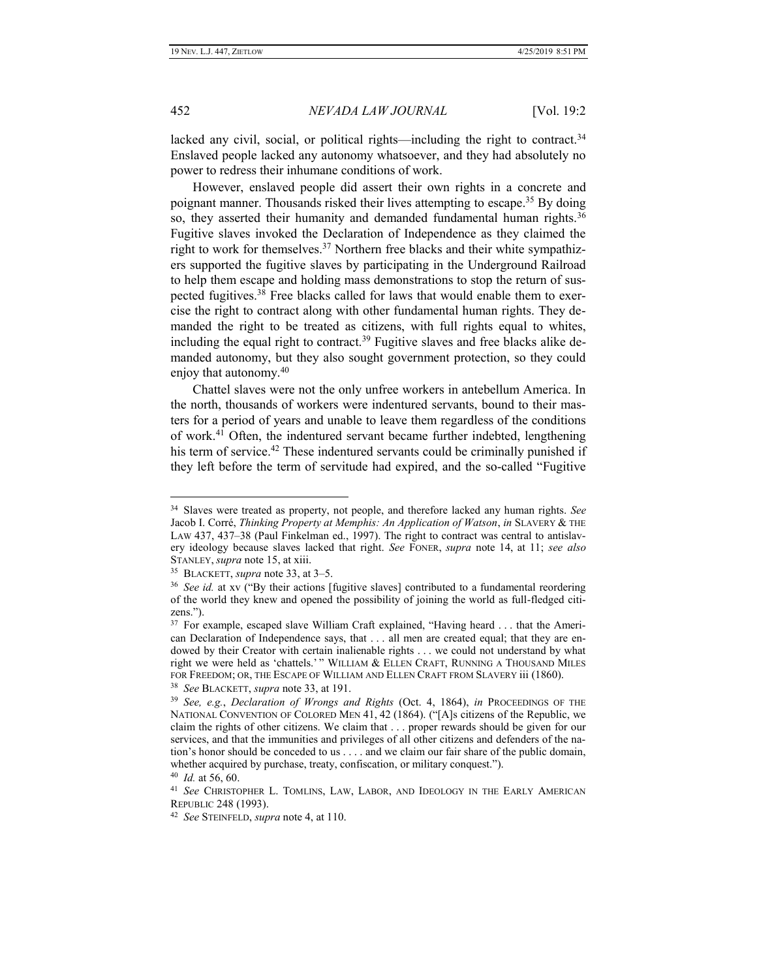$\overline{a}$ 

452 *NEVADA LAW JOURNAL* [Vol. 19:2

lacked any civil, social, or political rights—including the right to contract.<sup>34</sup> Enslaved people lacked any autonomy whatsoever, and they had absolutely no power to redress their inhumane conditions of work.

However, enslaved people did assert their own rights in a concrete and poignant manner. Thousands risked their lives attempting to escape.<sup>35</sup> By doing so, they asserted their humanity and demanded fundamental human rights.<sup>36</sup> Fugitive slaves invoked the Declaration of Independence as they claimed the right to work for themselves.<sup>37</sup> Northern free blacks and their white sympathizers supported the fugitive slaves by participating in the Underground Railroad to help them escape and holding mass demonstrations to stop the return of suspected fugitives.<sup>38</sup> Free blacks called for laws that would enable them to exercise the right to contract along with other fundamental human rights. They demanded the right to be treated as citizens, with full rights equal to whites, including the equal right to contract.<sup>39</sup> Fugitive slaves and free blacks alike demanded autonomy, but they also sought government protection, so they could enjoy that autonomy.<sup>40</sup>

Chattel slaves were not the only unfree workers in antebellum America. In the north, thousands of workers were indentured servants, bound to their masters for a period of years and unable to leave them regardless of the conditions of work.<sup>41</sup> Often, the indentured servant became further indebted, lengthening his term of service.<sup>42</sup> These indentured servants could be criminally punished if they left before the term of servitude had expired, and the so-called "Fugitive

<sup>34</sup> Slaves were treated as property, not people, and therefore lacked any human rights. *See* Jacob I. Corré, *Thinking Property at Memphis: An Application of Watson*, *in* SLAVERY & THE LAW 437, 437–38 (Paul Finkelman ed., 1997). The right to contract was central to antislavery ideology because slaves lacked that right. *See* FONER, *supra* note 14, at 11; *see also* STANLEY, *supra* note 15, at xiii.

<sup>35</sup> BLACKETT, *supra* note 33, at 3–5.

<sup>36</sup> *See id.* at xv ("By their actions [fugitive slaves] contributed to a fundamental reordering of the world they knew and opened the possibility of joining the world as full-fledged citizens.").

<sup>&</sup>lt;sup>37</sup> For example, escaped slave William Craft explained, "Having heard . . . that the American Declaration of Independence says, that . . . all men are created equal; that they are endowed by their Creator with certain inalienable rights . . . we could not understand by what right we were held as 'chattels.' " WILLIAM & ELLEN CRAFT, RUNNING A THOUSAND MILES FOR FREEDOM; OR, THE ESCAPE OF WILLIAM AND ELLEN CRAFT FROM SLAVERY iii (1860).

<sup>38</sup> *See* BLACKETT, *supra* note 33, at 191.

<sup>39</sup> *See, e.g.*, *Declaration of Wrongs and Rights* (Oct. 4, 1864), *in* PROCEEDINGS OF THE NATIONAL CONVENTION OF COLORED MEN 41, 42 (1864). ("[A]s citizens of the Republic, we claim the rights of other citizens. We claim that . . . proper rewards should be given for our services, and that the immunities and privileges of all other citizens and defenders of the nation's honor should be conceded to us . . . . and we claim our fair share of the public domain, whether acquired by purchase, treaty, confiscation, or military conquest.").

<sup>40</sup> *Id.* at 56, 60.

<sup>41</sup> *See* CHRISTOPHER L. TOMLINS, LAW, LABOR, AND IDEOLOGY IN THE EARLY AMERICAN REPUBLIC 248 (1993).

<sup>42</sup> *See* STEINFELD, *supra* note 4, at 110.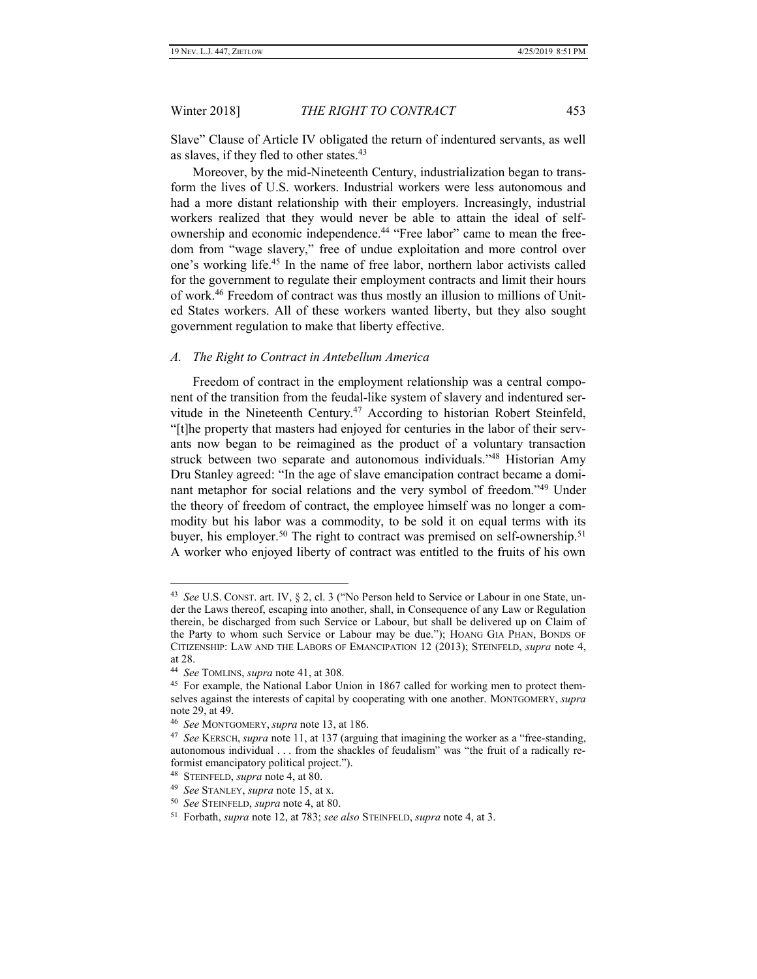Slave" Clause of Article IV obligated the return of indentured servants, as well as slaves, if they fled to other states.<sup>43</sup>

Moreover, by the mid-Nineteenth Century, industrialization began to transform the lives of U.S. workers. Industrial workers were less autonomous and had a more distant relationship with their employers. Increasingly, industrial workers realized that they would never be able to attain the ideal of selfownership and economic independence.<sup>44</sup> "Free labor" came to mean the freedom from "wage slavery," free of undue exploitation and more control over one's working life.<sup>45</sup> In the name of free labor, northern labor activists called for the government to regulate their employment contracts and limit their hours of work.<sup>46</sup> Freedom of contract was thus mostly an illusion to millions of United States workers. All of these workers wanted liberty, but they also sought government regulation to make that liberty effective.

# *A. The Right to Contract in Antebellum America*

Freedom of contract in the employment relationship was a central component of the transition from the feudal-like system of slavery and indentured servitude in the Nineteenth Century.<sup>47</sup> According to historian Robert Steinfeld, "[t]he property that masters had enjoyed for centuries in the labor of their servants now began to be reimagined as the product of a voluntary transaction struck between two separate and autonomous individuals."<sup>48</sup> Historian Amy Dru Stanley agreed: "In the age of slave emancipation contract became a dominant metaphor for social relations and the very symbol of freedom."<sup>49</sup> Under the theory of freedom of contract, the employee himself was no longer a commodity but his labor was a commodity, to be sold it on equal terms with its buyer, his employer.<sup>50</sup> The right to contract was premised on self-ownership.<sup>51</sup> A worker who enjoyed liberty of contract was entitled to the fruits of his own

<sup>43</sup> *See* U.S. CONST. art. IV, § 2, cl. 3 ("No Person held to Service or Labour in one State, under the Laws thereof, escaping into another, shall, in Consequence of any Law or Regulation therein, be discharged from such Service or Labour, but shall be delivered up on Claim of the Party to whom such Service or Labour may be due."); HOANG GIA PHAN, BONDS OF CITIZENSHIP: LAW AND THE LABORS OF EMANCIPATION 12 (2013); STEINFELD, *supra* note 4, at 28.

<sup>44</sup> *See* TOMLINS, *supra* note 41, at 308.

<sup>&</sup>lt;sup>45</sup> For example, the National Labor Union in 1867 called for working men to protect themselves against the interests of capital by cooperating with one another. MONTGOMERY, *supra* note 29, at 49.

<sup>46</sup> *See* MONTGOMERY, *supra* note 13, at 186.

<sup>47</sup> *See* KERSCH, *supra* note 11, at 137 (arguing that imagining the worker as a "free-standing, autonomous individual . . . from the shackles of feudalism" was "the fruit of a radically reformist emancipatory political project.").

<sup>48</sup> STEINFELD, *supra* note 4, at 80.

<sup>49</sup> *See* STANLEY, *supra* note 15, at x.

<sup>50</sup> *See* STEINFELD, *supra* note 4, at 80.

<sup>51</sup> Forbath, *supra* note 12, at 783; *see also* STEINFELD, *supra* note 4, at 3.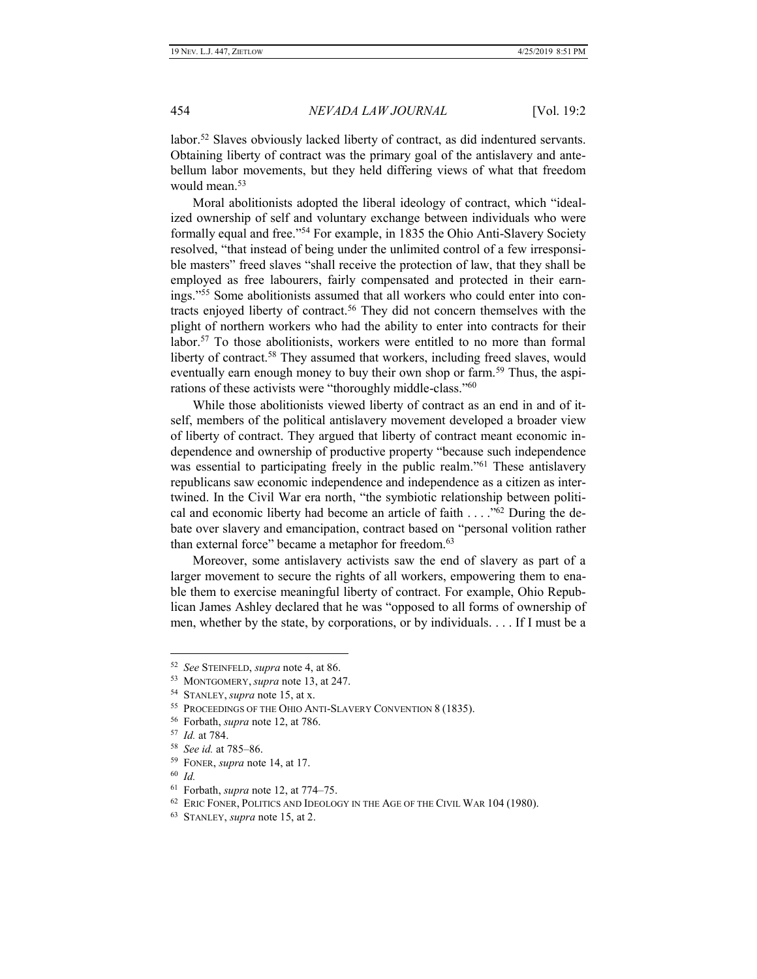labor.<sup>52</sup> Slaves obviously lacked liberty of contract, as did indentured servants. Obtaining liberty of contract was the primary goal of the antislavery and antebellum labor movements, but they held differing views of what that freedom would mean.<sup>53</sup>

Moral abolitionists adopted the liberal ideology of contract, which "idealized ownership of self and voluntary exchange between individuals who were formally equal and free."<sup>54</sup> For example, in 1835 the Ohio Anti-Slavery Society resolved, "that instead of being under the unlimited control of a few irresponsible masters" freed slaves "shall receive the protection of law, that they shall be employed as free labourers, fairly compensated and protected in their earnings."<sup>55</sup> Some abolitionists assumed that all workers who could enter into contracts enjoyed liberty of contract.<sup>56</sup> They did not concern themselves with the plight of northern workers who had the ability to enter into contracts for their labor.<sup>57</sup> To those abolitionists, workers were entitled to no more than formal liberty of contract.<sup>58</sup> They assumed that workers, including freed slaves, would eventually earn enough money to buy their own shop or farm.<sup>59</sup> Thus, the aspirations of these activists were "thoroughly middle-class."<sup>60</sup>

While those abolitionists viewed liberty of contract as an end in and of itself, members of the political antislavery movement developed a broader view of liberty of contract. They argued that liberty of contract meant economic independence and ownership of productive property "because such independence was essential to participating freely in the public realm."<sup>61</sup> These antislavery republicans saw economic independence and independence as a citizen as intertwined. In the Civil War era north, "the symbiotic relationship between political and economic liberty had become an article of faith  $\dots$ . "<sup>62</sup> During the debate over slavery and emancipation, contract based on "personal volition rather than external force" became a metaphor for freedom.<sup>63</sup>

Moreover, some antislavery activists saw the end of slavery as part of a larger movement to secure the rights of all workers, empowering them to enable them to exercise meaningful liberty of contract. For example, Ohio Republican James Ashley declared that he was "opposed to all forms of ownership of men, whether by the state, by corporations, or by individuals. . . . If I must be a

<sup>52</sup> *See* STEINFELD, *supra* note 4, at 86.

<sup>53</sup> MONTGOMERY, *supra* note 13, at 247.

<sup>54</sup> STANLEY, *supra* note 15, at x.

<sup>55</sup> PROCEEDINGS OF THE OHIO ANTI-SLAVERY CONVENTION 8 (1835).

<sup>56</sup> Forbath, *supra* note 12, at 786.

<sup>57</sup> *Id.* at 784.

<sup>58</sup> *See id.* at 785–86.

<sup>59</sup> FONER, *supra* note 14, at 17.

<sup>60</sup> *Id.*

<sup>61</sup> Forbath, *supra* note 12, at 774–75.

 $^{62}$  Eric Foner, Politics and Ideology in the Age of the Civil War 104 (1980).

<sup>63</sup> STANLEY, *supra* note 15, at 2.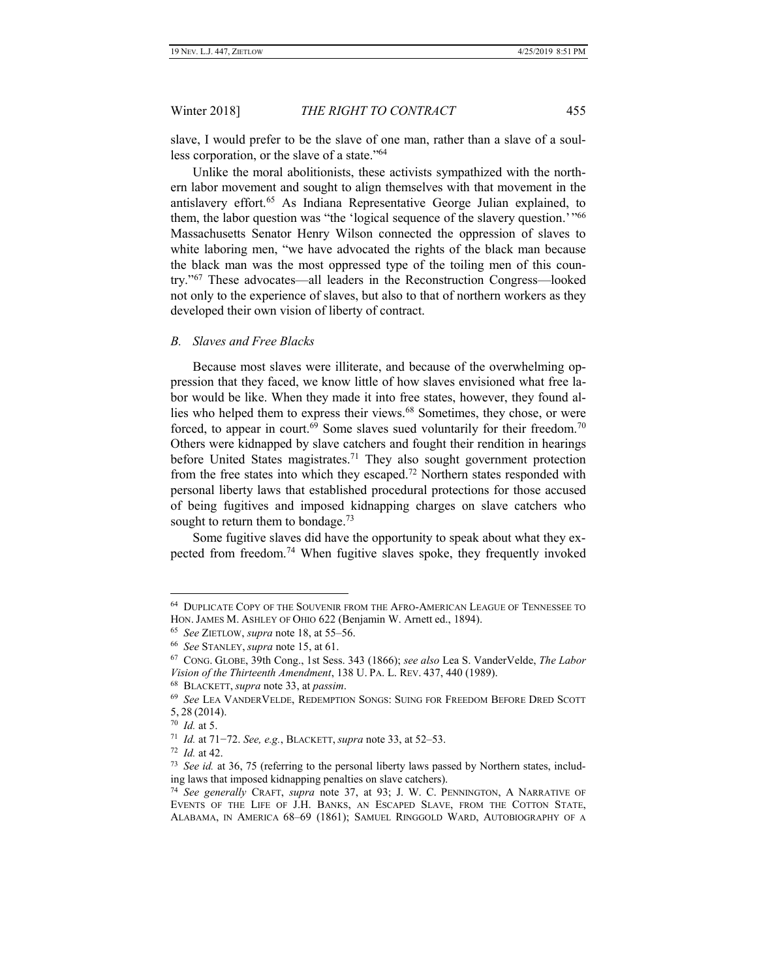slave, I would prefer to be the slave of one man, rather than a slave of a soulless corporation, or the slave of a state."<sup>64</sup>

Unlike the moral abolitionists, these activists sympathized with the northern labor movement and sought to align themselves with that movement in the antislavery effort.<sup>65</sup> As Indiana Representative George Julian explained, to them, the labor question was "the 'logical sequence of the slavery question.'"<sup>66</sup> Massachusetts Senator Henry Wilson connected the oppression of slaves to white laboring men, "we have advocated the rights of the black man because the black man was the most oppressed type of the toiling men of this country."<sup>67</sup> These advocates—all leaders in the Reconstruction Congress—looked not only to the experience of slaves, but also to that of northern workers as they developed their own vision of liberty of contract.

# *B. Slaves and Free Blacks*

Because most slaves were illiterate, and because of the overwhelming oppression that they faced, we know little of how slaves envisioned what free labor would be like. When they made it into free states, however, they found allies who helped them to express their views.<sup>68</sup> Sometimes, they chose, or were forced, to appear in court. $69$  Some slaves sued voluntarily for their freedom.<sup>70</sup> Others were kidnapped by slave catchers and fought their rendition in hearings before United States magistrates.<sup>71</sup> They also sought government protection from the free states into which they escaped.<sup>72</sup> Northern states responded with personal liberty laws that established procedural protections for those accused of being fugitives and imposed kidnapping charges on slave catchers who sought to return them to bondage.<sup>73</sup>

Some fugitive slaves did have the opportunity to speak about what they expected from freedom.<sup>74</sup> When fugitive slaves spoke, they frequently invoked

70 *Id.* at 5.

<sup>64</sup> DUPLICATE COPY OF THE SOUVENIR FROM THE AFRO-AMERICAN LEAGUE OF TENNESSEE TO HON. JAMES M. ASHLEY OF OHIO 622 (Benjamin W. Arnett ed., 1894).

<sup>65</sup> *See* ZIETLOW, *supra* note 18, at 55–56.

<sup>66</sup> *See* STANLEY, *supra* note 15, at 61.

<sup>67</sup> CONG. GLOBE, 39th Cong., 1st Sess. 343 (1866); *see also* Lea S. VanderVelde, *The Labor Vision of the Thirteenth Amendment*, 138 U. PA. L. REV. 437, 440 (1989).

<sup>68</sup> BLACKETT, *supra* note 33, at *passim*.

<sup>69</sup> *See* LEA VANDERVELDE, REDEMPTION SONGS: SUING FOR FREEDOM BEFORE DRED SCOTT 5, 28 (2014).

<sup>71</sup> *Id.* at 71−72. *See, e.g.*, BLACKETT, *supra* note 33, at 52–53.

<sup>72</sup> *Id.* at 42.

<sup>73</sup> *See id.* at 36, 75 (referring to the personal liberty laws passed by Northern states, including laws that imposed kidnapping penalties on slave catchers).

<sup>74</sup> *See generally* CRAFT, *supra* note 37, at 93; J. W. C. PENNINGTON, A NARRATIVE OF EVENTS OF THE LIFE OF J.H. BANKS, AN ESCAPED SLAVE, FROM THE COTTON STATE, ALABAMA, IN AMERICA 68–69 (1861); SAMUEL RINGGOLD WARD, AUTOBIOGRAPHY OF A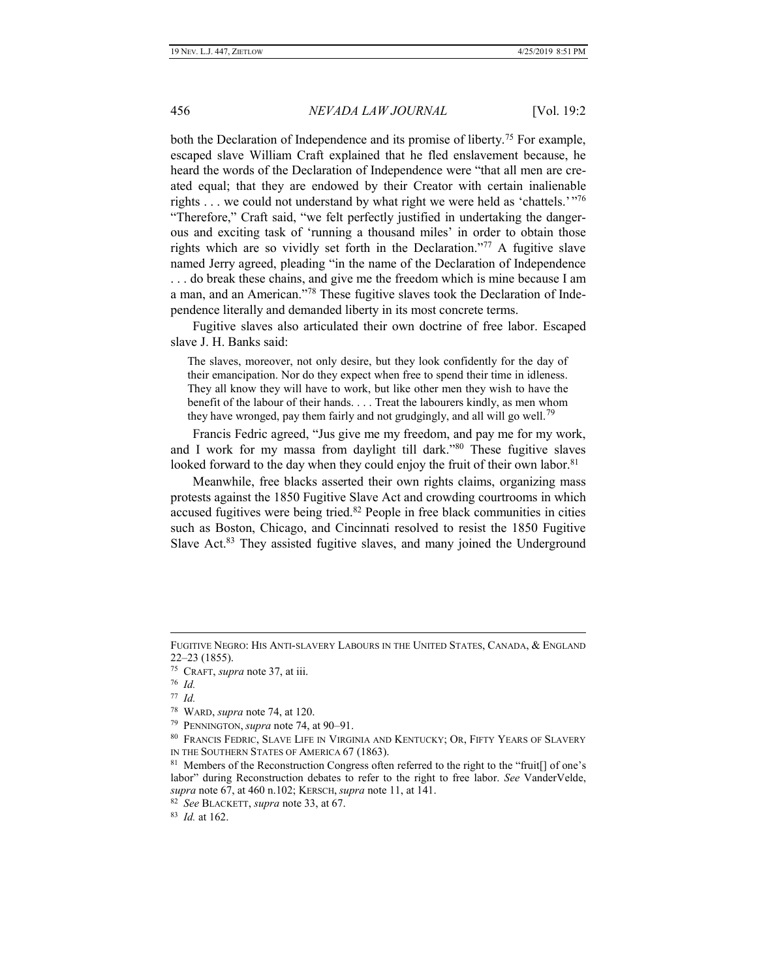both the Declaration of Independence and its promise of liberty.<sup>75</sup> For example, escaped slave William Craft explained that he fled enslavement because, he heard the words of the Declaration of Independence were "that all men are created equal; that they are endowed by their Creator with certain inalienable rights . . . we could not understand by what right we were held as 'chattels.'"<sup>76</sup> "Therefore," Craft said, "we felt perfectly justified in undertaking the dangerous and exciting task of 'running a thousand miles' in order to obtain those rights which are so vividly set forth in the Declaration."<sup>77</sup> A fugitive slave named Jerry agreed, pleading "in the name of the Declaration of Independence . . . do break these chains, and give me the freedom which is mine because I am a man, and an American."<sup>78</sup> These fugitive slaves took the Declaration of Independence literally and demanded liberty in its most concrete terms.

Fugitive slaves also articulated their own doctrine of free labor. Escaped slave J. H. Banks said:

The slaves, moreover, not only desire, but they look confidently for the day of their emancipation. Nor do they expect when free to spend their time in idleness. They all know they will have to work, but like other men they wish to have the benefit of the labour of their hands. . . . Treat the labourers kindly, as men whom they have wronged, pay them fairly and not grudgingly, and all will go well.<sup>79</sup>

Francis Fedric agreed, "Jus give me my freedom, and pay me for my work, and I work for my massa from daylight till dark."<sup>80</sup> These fugitive slaves looked forward to the day when they could enjoy the fruit of their own labor.<sup>81</sup>

Meanwhile, free blacks asserted their own rights claims, organizing mass protests against the 1850 Fugitive Slave Act and crowding courtrooms in which accused fugitives were being tried.<sup>82</sup> People in free black communities in cities such as Boston, Chicago, and Cincinnati resolved to resist the 1850 Fugitive Slave Act.<sup>83</sup> They assisted fugitive slaves, and many joined the Underground

FUGITIVE NEGRO: HIS ANTI-SLAVERY LABOURS IN THE UNITED STATES, CANADA, & ENGLAND 22–23 (1855).

<sup>75</sup> CRAFT, *supra* note 37, at iii.

<sup>76</sup> *Id.*

<sup>77</sup> *Id.*

<sup>78</sup> WARD, *supra* note 74, at 120.

<sup>79</sup> PENNINGTON, *supra* note 74, at 90–91.

<sup>80</sup> FRANCIS FEDRIC, SLAVE LIFE IN VIRGINIA AND KENTUCKY; OR, FIFTY YEARS OF SLAVERY IN THE SOUTHERN STATES OF AMERICA 67 (1863).

<sup>&</sup>lt;sup>81</sup> Members of the Reconstruction Congress often referred to the right to the "fruit<sup>[]</sup> of one's labor" during Reconstruction debates to refer to the right to free labor. *See* VanderVelde, *supra* note 67, at 460 n.102; KERSCH, *supra* note 11, at 141.

<sup>82</sup> *See* BLACKETT, *supra* note 33, at 67.

<sup>83</sup> *Id.* at 162.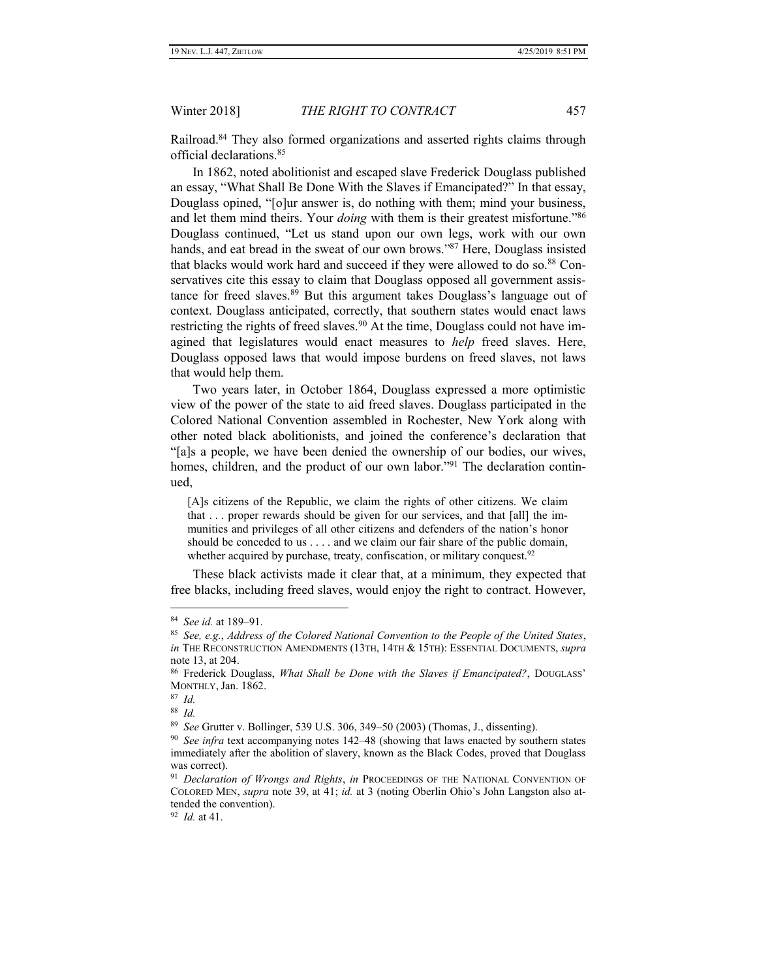Railroad.<sup>84</sup> They also formed organizations and asserted rights claims through official declarations.<sup>85</sup>

In 1862, noted abolitionist and escaped slave Frederick Douglass published an essay, "What Shall Be Done With the Slaves if Emancipated?" In that essay, Douglass opined, "[o]ur answer is, do nothing with them; mind your business, and let them mind theirs. Your *doing* with them is their greatest misfortune."<sup>86</sup> Douglass continued, "Let us stand upon our own legs, work with our own hands, and eat bread in the sweat of our own brows."<sup>87</sup> Here, Douglass insisted that blacks would work hard and succeed if they were allowed to do so.<sup>88</sup> Conservatives cite this essay to claim that Douglass opposed all government assistance for freed slaves.<sup>89</sup> But this argument takes Douglass's language out of context. Douglass anticipated, correctly, that southern states would enact laws restricting the rights of freed slaves.<sup>90</sup> At the time, Douglass could not have imagined that legislatures would enact measures to *help* freed slaves. Here, Douglass opposed laws that would impose burdens on freed slaves, not laws that would help them.

Two years later, in October 1864, Douglass expressed a more optimistic view of the power of the state to aid freed slaves. Douglass participated in the Colored National Convention assembled in Rochester, New York along with other noted black abolitionists, and joined the conference's declaration that "[a]s a people, we have been denied the ownership of our bodies, our wives, homes, children, and the product of our own labor."<sup>91</sup> The declaration continued,

[A]s citizens of the Republic, we claim the rights of other citizens. We claim that . . . proper rewards should be given for our services, and that [all] the immunities and privileges of all other citizens and defenders of the nation's honor should be conceded to us . . . . and we claim our fair share of the public domain, whether acquired by purchase, treaty, confiscation, or military conquest.<sup>92</sup>

These black activists made it clear that, at a minimum, they expected that free blacks, including freed slaves, would enjoy the right to contract. However,

 $\overline{a}$ 

92 *Id.* at 41.

<sup>84</sup> *See id.* at 189–91.

<sup>85</sup> *See, e.g.*, *Address of the Colored National Convention to the People of the United States*, *in* THE RECONSTRUCTION AMENDMENTS (13TH, 14TH & 15TH): ESSENTIAL DOCUMENTS, *supra*  note 13, at 204.

<sup>86</sup> Frederick Douglass, *What Shall be Done with the Slaves if Emancipated?*, DOUGLASS' MONTHLY, Jan. 1862.

<sup>87</sup> *Id.*

<sup>88</sup> *Id.*

<sup>89</sup> *See* Grutter v. Bollinger, 539 U.S. 306, 349–50 (2003) (Thomas, J., dissenting).

<sup>90</sup> *See infra* text accompanying notes 142–48 (showing that laws enacted by southern states immediately after the abolition of slavery, known as the Black Codes, proved that Douglass was correct).

<sup>&</sup>lt;sup>91</sup> Declaration of Wrongs and Rights, in PROCEEDINGS OF THE NATIONAL CONVENTION OF COLORED MEN, *supra* note 39, at 41; *id.* at 3 (noting Oberlin Ohio's John Langston also attended the convention).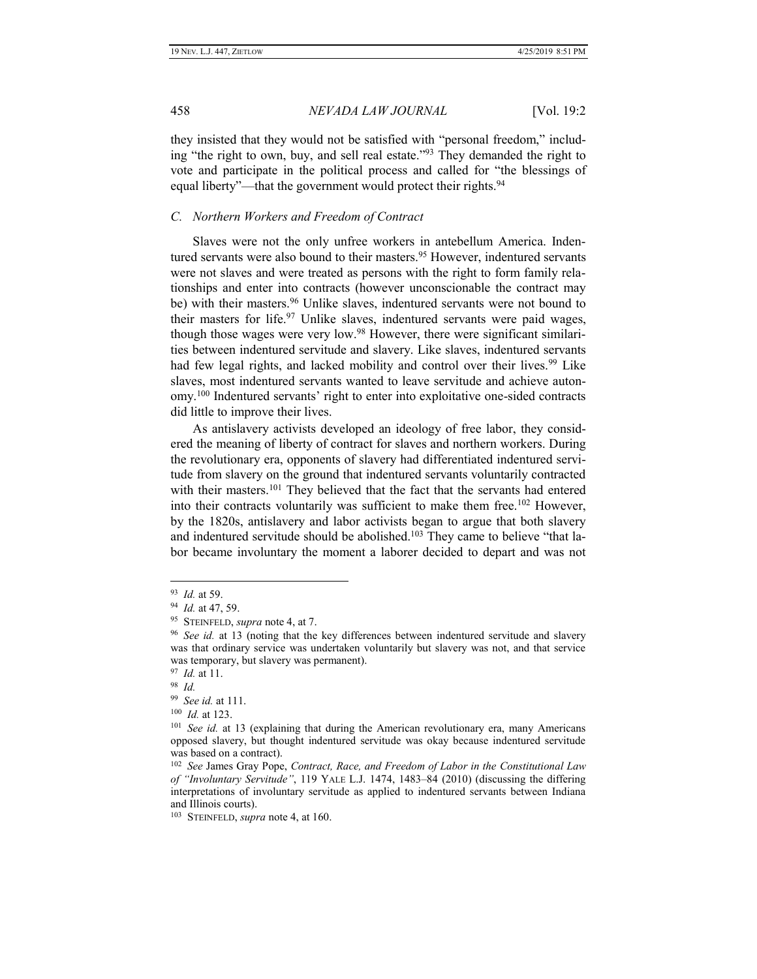they insisted that they would not be satisfied with "personal freedom," including "the right to own, buy, and sell real estate."<sup>93</sup> They demanded the right to vote and participate in the political process and called for "the blessings of equal liberty"—that the government would protect their rights.<sup>94</sup>

# *C. Northern Workers and Freedom of Contract*

Slaves were not the only unfree workers in antebellum America. Indentured servants were also bound to their masters.<sup>95</sup> However, indentured servants were not slaves and were treated as persons with the right to form family relationships and enter into contracts (however unconscionable the contract may be) with their masters.<sup>96</sup> Unlike slaves, indentured servants were not bound to their masters for life.<sup>97</sup> Unlike slaves, indentured servants were paid wages, though those wages were very low.<sup>98</sup> However, there were significant similarities between indentured servitude and slavery. Like slaves, indentured servants had few legal rights, and lacked mobility and control over their lives.<sup>99</sup> Like slaves, most indentured servants wanted to leave servitude and achieve autonomy.<sup>100</sup> Indentured servants' right to enter into exploitative one-sided contracts did little to improve their lives.

As antislavery activists developed an ideology of free labor, they considered the meaning of liberty of contract for slaves and northern workers. During the revolutionary era, opponents of slavery had differentiated indentured servitude from slavery on the ground that indentured servants voluntarily contracted with their masters.<sup>101</sup> They believed that the fact that the servants had entered into their contracts voluntarily was sufficient to make them free.<sup>102</sup> However, by the 1820s, antislavery and labor activists began to argue that both slavery and indentured servitude should be abolished.<sup>103</sup> They came to believe "that labor became involuntary the moment a laborer decided to depart and was not

<sup>93</sup> *Id.* at 59.

<sup>94</sup> *Id.* at 47, 59.

<sup>95</sup> STEINFELD, *supra* note 4, at 7.

<sup>&</sup>lt;sup>96</sup> See id. at 13 (noting that the key differences between indentured servitude and slavery was that ordinary service was undertaken voluntarily but slavery was not, and that service was temporary, but slavery was permanent).

<sup>97</sup> *Id.* at 11.

<sup>98</sup> *Id.*

<sup>99</sup> *See id.* at 111.

<sup>100</sup> *Id.* at 123.

<sup>&</sup>lt;sup>101</sup> See id. at 13 (explaining that during the American revolutionary era, many Americans opposed slavery, but thought indentured servitude was okay because indentured servitude was based on a contract).

<sup>102</sup> *See* James Gray Pope, *Contract, Race, and Freedom of Labor in the Constitutional Law of "Involuntary Servitude"*, 119 YALE L.J. 1474, 1483–84 (2010) (discussing the differing interpretations of involuntary servitude as applied to indentured servants between Indiana and Illinois courts).

<sup>103</sup> STEINFELD, *supra* note 4, at 160.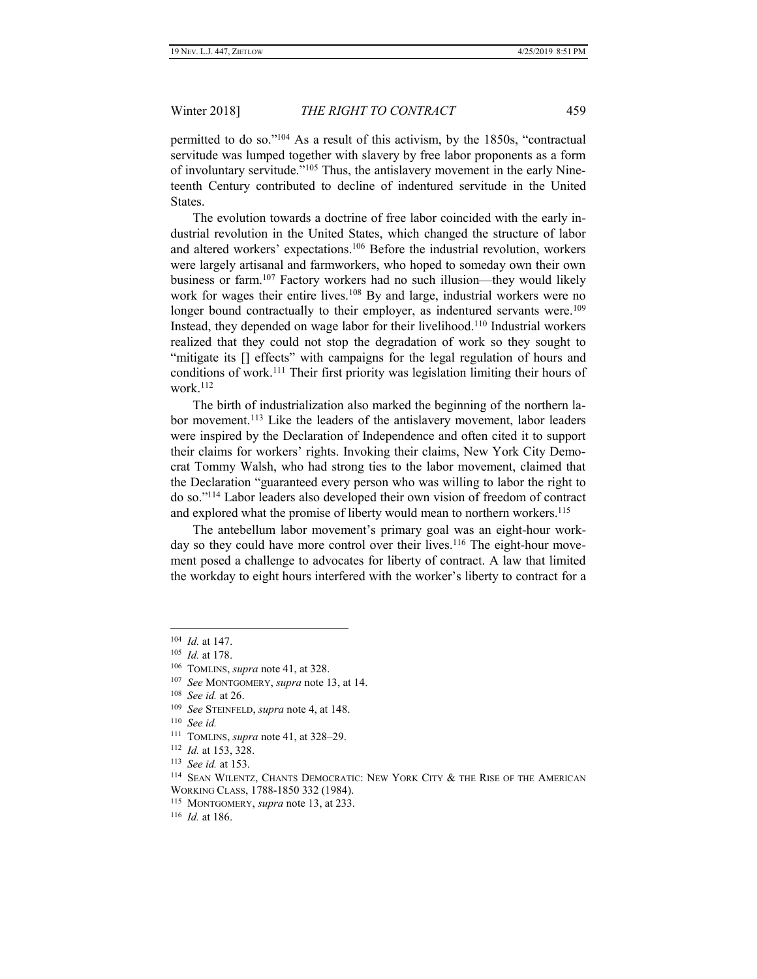permitted to do so."<sup>104</sup> As a result of this activism, by the 1850s, "contractual servitude was lumped together with slavery by free labor proponents as a form of involuntary servitude."<sup>105</sup> Thus, the antislavery movement in the early Nineteenth Century contributed to decline of indentured servitude in the United States.

The evolution towards a doctrine of free labor coincided with the early industrial revolution in the United States, which changed the structure of labor and altered workers' expectations.<sup>106</sup> Before the industrial revolution, workers were largely artisanal and farmworkers, who hoped to someday own their own business or farm.<sup>107</sup> Factory workers had no such illusion—they would likely work for wages their entire lives.<sup>108</sup> By and large, industrial workers were no longer bound contractually to their employer, as indentured servants were.<sup>109</sup> Instead, they depended on wage labor for their livelihood.<sup>110</sup> Industrial workers realized that they could not stop the degradation of work so they sought to "mitigate its  $\Box$  effects" with campaigns for the legal regulation of hours and conditions of work.<sup>111</sup> Their first priority was legislation limiting their hours of work.<sup>112</sup>

The birth of industrialization also marked the beginning of the northern labor movement.<sup>113</sup> Like the leaders of the antislavery movement, labor leaders were inspired by the Declaration of Independence and often cited it to support their claims for workers' rights. Invoking their claims, New York City Democrat Tommy Walsh, who had strong ties to the labor movement, claimed that the Declaration "guaranteed every person who was willing to labor the right to do so."<sup>114</sup> Labor leaders also developed their own vision of freedom of contract and explored what the promise of liberty would mean to northern workers.<sup>115</sup>

The antebellum labor movement's primary goal was an eight-hour workday so they could have more control over their lives.<sup>116</sup> The eight-hour movement posed a challenge to advocates for liberty of contract. A law that limited the workday to eight hours interfered with the worker's liberty to contract for a

<sup>104</sup> *Id.* at 147.

<sup>105</sup> *Id.* at 178.

<sup>106</sup> TOMLINS, *supra* note 41, at 328.

<sup>107</sup> *See* MONTGOMERY, *supra* note 13, at 14.

<sup>108</sup> *See id.* at 26.

<sup>109</sup> *See* STEINFELD, *supra* note 4, at 148.

<sup>110</sup> *See id.*

<sup>111</sup> TOMLINS, *supra* note 41, at 328–29.

<sup>112</sup> *Id.* at 153, 328.

<sup>113</sup> *See id.* at 153.

<sup>114</sup> SEAN WILENTZ, CHANTS DEMOCRATIC: NEW YORK CITY & THE RISE OF THE AMERICAN WORKING CLASS, 1788-1850 332 (1984).

<sup>115</sup> MONTGOMERY, *supra* note 13, at 233.

<sup>116</sup> *Id.* at 186.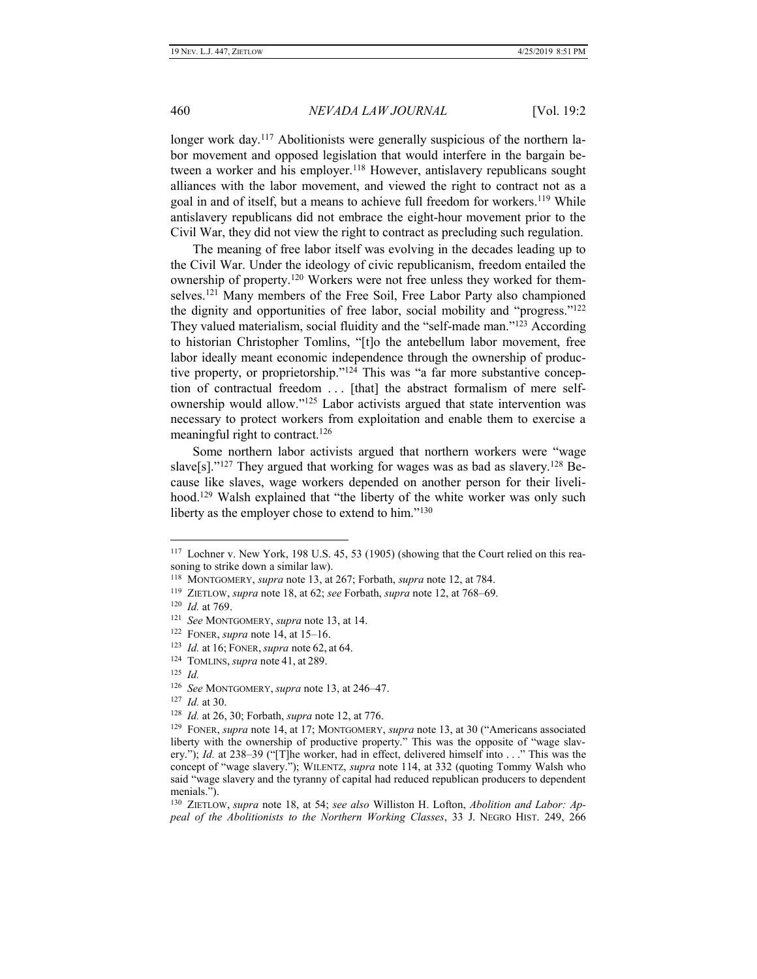longer work day.<sup>117</sup> Abolitionists were generally suspicious of the northern labor movement and opposed legislation that would interfere in the bargain between a worker and his employer.<sup>118</sup> However, antislavery republicans sought alliances with the labor movement, and viewed the right to contract not as a goal in and of itself, but a means to achieve full freedom for workers.<sup>119</sup> While antislavery republicans did not embrace the eight-hour movement prior to the Civil War, they did not view the right to contract as precluding such regulation.

The meaning of free labor itself was evolving in the decades leading up to the Civil War. Under the ideology of civic republicanism, freedom entailed the ownership of property.<sup>120</sup> Workers were not free unless they worked for themselves.<sup>121</sup> Many members of the Free Soil, Free Labor Party also championed the dignity and opportunities of free labor, social mobility and "progress."<sup>122</sup> They valued materialism, social fluidity and the "self-made man."<sup>123</sup> According to historian Christopher Tomlins, "[t]o the antebellum labor movement, free labor ideally meant economic independence through the ownership of productive property, or proprietorship."<sup>124</sup> This was "a far more substantive conception of contractual freedom ... [that] the abstract formalism of mere selfownership would allow."<sup>125</sup> Labor activists argued that state intervention was necessary to protect workers from exploitation and enable them to exercise a meaningful right to contract.<sup>126</sup>

Some northern labor activists argued that northern workers were "wage slave[s]."<sup>127</sup> They argued that working for wages was as bad as slavery.<sup>128</sup> Because like slaves, wage workers depended on another person for their livelihood.<sup>129</sup> Walsh explained that "the liberty of the white worker was only such liberty as the employer chose to extend to him."<sup>130</sup>

<sup>&</sup>lt;sup>117</sup> Lochner v. New York, 198 U.S. 45, 53 (1905) (showing that the Court relied on this reasoning to strike down a similar law).

<sup>118</sup> MONTGOMERY, *supra* note 13, at 267; Forbath, *supra* note 12, at 784.

<sup>119</sup> ZIETLOW, *supra* note 18, at 62; *see* Forbath, *supra* note 12, at 768–69.

<sup>120</sup> *Id.* at 769.

<sup>121</sup> *See* MONTGOMERY, *supra* note 13, at 14.

<sup>122</sup> FONER, *supra* note 14, at 15–16.

<sup>123</sup> *Id.* at 16; FONER, *supra* note 62, at 64.

<sup>124</sup> TOMLINS, *supra* note 41, at 289.

<sup>125</sup> *Id.*

<sup>126</sup> *See* MONTGOMERY, *supra* note 13, at 246–47.

<sup>127</sup> *Id.* at 30.

<sup>128</sup> *Id.* at 26, 30; Forbath, *supra* note 12, at 776.

<sup>129</sup> FONER, *supra* note 14, at 17; MONTGOMERY, *supra* note 13, at 30 ("Americans associated liberty with the ownership of productive property." This was the opposite of "wage slavery."); *Id.* at 238-39 ("[T]he worker, had in effect, delivered himself into . . ." This was the concept of "wage slavery."); WILENTZ, *supra* note 114, at 332 (quoting Tommy Walsh who said "wage slavery and the tyranny of capital had reduced republican producers to dependent menials.").

<sup>130</sup> ZIETLOW, *supra* note 18, at 54; *see also* Williston H. Lofton, *Abolition and Labor: Appeal of the Abolitionists to the Northern Working Classes*, 33 J. NEGRO HIST. 249, 266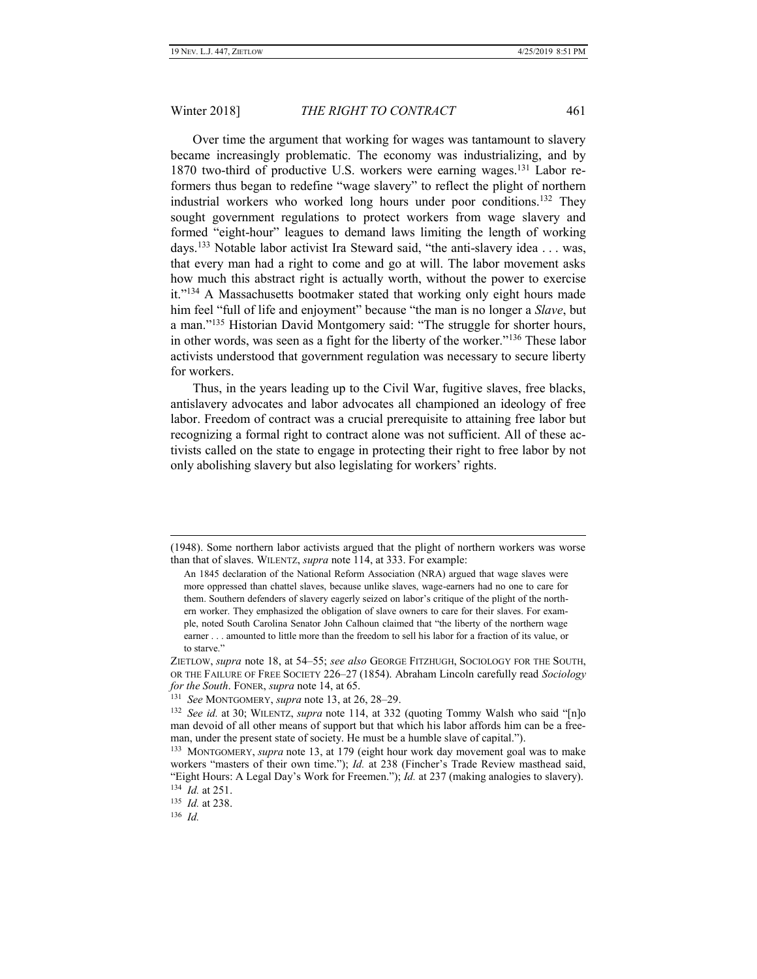Over time the argument that working for wages was tantamount to slavery became increasingly problematic. The economy was industrializing, and by 1870 two-third of productive U.S. workers were earning wages.<sup>131</sup> Labor reformers thus began to redefine "wage slavery" to reflect the plight of northern industrial workers who worked long hours under poor conditions.<sup>132</sup> They sought government regulations to protect workers from wage slavery and formed "eight-hour" leagues to demand laws limiting the length of working days.<sup>133</sup> Notable labor activist Ira Steward said, "the anti-slavery idea . . . was, that every man had a right to come and go at will. The labor movement asks how much this abstract right is actually worth, without the power to exercise it."<sup>134</sup> A Massachusetts bootmaker stated that working only eight hours made him feel "full of life and enjoyment" because "the man is no longer a *Slave*, but a man."<sup>135</sup> Historian David Montgomery said: "The struggle for shorter hours, in other words, was seen as a fight for the liberty of the worker."<sup>136</sup> These labor activists understood that government regulation was necessary to secure liberty for workers.

Thus, in the years leading up to the Civil War, fugitive slaves, free blacks, antislavery advocates and labor advocates all championed an ideology of free labor. Freedom of contract was a crucial prerequisite to attaining free labor but recognizing a formal right to contract alone was not sufficient. All of these activists called on the state to engage in protecting their right to free labor by not only abolishing slavery but also legislating for workers' rights.

<sup>(1948).</sup> Some northern labor activists argued that the plight of northern workers was worse than that of slaves. WILENTZ, *supra* note 114, at 333. For example:

An 1845 declaration of the National Reform Association (NRA) argued that wage slaves were more oppressed than chattel slaves, because unlike slaves, wage-earners had no one to care for them. Southern defenders of slavery eagerly seized on labor's critique of the plight of the northern worker. They emphasized the obligation of slave owners to care for their slaves. For example, noted South Carolina Senator John Calhoun claimed that "the liberty of the northern wage earner . . . amounted to little more than the freedom to sell his labor for a fraction of its value, or to starve."

ZIETLOW, *supra* note 18, at 54–55; *see also* GEORGE FITZHUGH, SOCIOLOGY FOR THE SOUTH, OR THE FAILURE OF FREE SOCIETY 226–27 (1854). Abraham Lincoln carefully read *Sociology for the South*. FONER, *supra* note 14, at 65.

<sup>131</sup> *See* MONTGOMERY, *supra* note 13, at 26, 28–29.

<sup>132</sup> *See id.* at 30; WILENTZ, *supra* note 114, at 332 (quoting Tommy Walsh who said "[n]o man devoid of all other means of support but that which his labor affords him can be a freeman, under the present state of society. He must be a humble slave of capital.").

<sup>133</sup> MONTGOMERY, *supra* note 13, at 179 (eight hour work day movement goal was to make workers "masters of their own time."); *Id.* at 238 (Fincher's Trade Review masthead said, "Eight Hours: A Legal Day's Work for Freemen."); *Id.* at 237 (making analogies to slavery). 134 *Id.* at 251.

<sup>135</sup> *Id.* at 238.

<sup>136</sup> *Id.*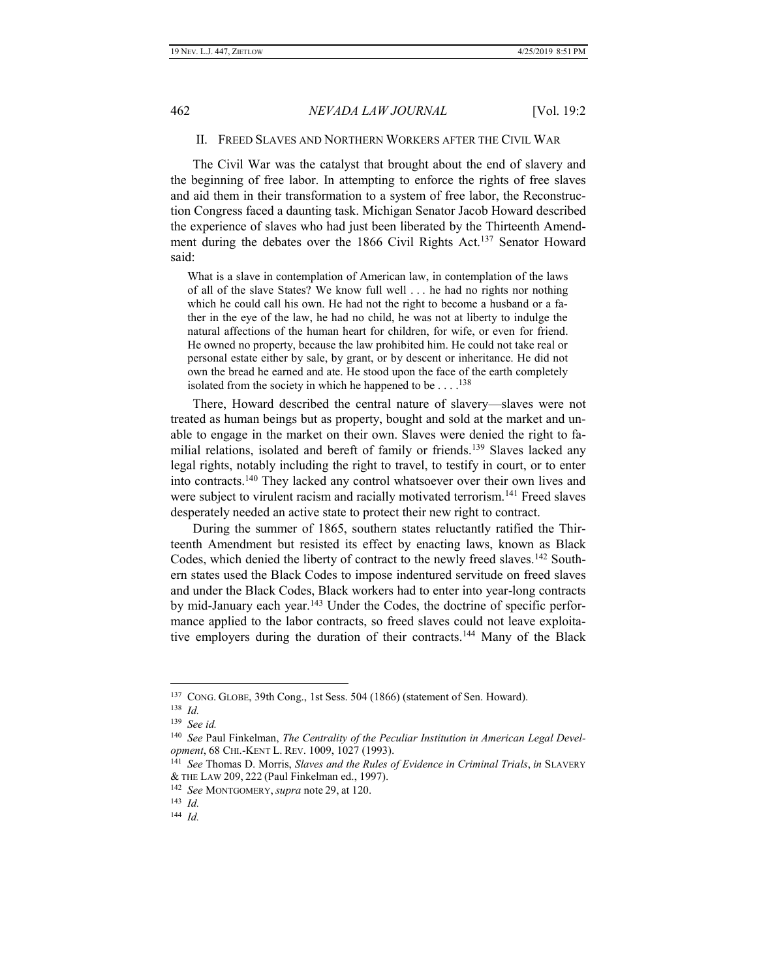# II. FREED SLAVES AND NORTHERN WORKERS AFTER THE CIVIL WAR

The Civil War was the catalyst that brought about the end of slavery and the beginning of free labor. In attempting to enforce the rights of free slaves and aid them in their transformation to a system of free labor, the Reconstruction Congress faced a daunting task. Michigan Senator Jacob Howard described the experience of slaves who had just been liberated by the Thirteenth Amendment during the debates over the 1866 Civil Rights Act.<sup>137</sup> Senator Howard said:

What is a slave in contemplation of American law, in contemplation of the laws of all of the slave States? We know full well . . . he had no rights nor nothing which he could call his own. He had not the right to become a husband or a father in the eye of the law, he had no child, he was not at liberty to indulge the natural affections of the human heart for children, for wife, or even for friend. He owned no property, because the law prohibited him. He could not take real or personal estate either by sale, by grant, or by descent or inheritance. He did not own the bread he earned and ate. He stood upon the face of the earth completely isolated from the society in which he happened to be  $\dots$ .  $^{138}$ 

There, Howard described the central nature of slavery—slaves were not treated as human beings but as property, bought and sold at the market and unable to engage in the market on their own. Slaves were denied the right to familial relations, isolated and bereft of family or friends.<sup>139</sup> Slaves lacked any legal rights, notably including the right to travel, to testify in court, or to enter into contracts.<sup>140</sup> They lacked any control whatsoever over their own lives and were subject to virulent racism and racially motivated terrorism.<sup>141</sup> Freed slaves desperately needed an active state to protect their new right to contract.

During the summer of 1865, southern states reluctantly ratified the Thirteenth Amendment but resisted its effect by enacting laws, known as Black Codes, which denied the liberty of contract to the newly freed slaves.<sup>142</sup> Southern states used the Black Codes to impose indentured servitude on freed slaves and under the Black Codes, Black workers had to enter into year-long contracts by mid-January each year.<sup>143</sup> Under the Codes, the doctrine of specific performance applied to the labor contracts, so freed slaves could not leave exploitative employers during the duration of their contracts.<sup>144</sup> Many of the Black

<sup>&</sup>lt;sup>137</sup> CONG. GLOBE, 39th Cong., 1st Sess. 504 (1866) (statement of Sen. Howard).

<sup>138</sup> *Id.*

<sup>139</sup> *See id.*

<sup>140</sup>  *See* Paul Finkelman, *The Centrality of the Peculiar Institution in American Legal Development*, 68 CHI.-KENT L. REV. 1009, 1027 (1993).

<sup>141</sup>  *See* Thomas D. Morris, *Slaves and the Rules of Evidence in Criminal Trials*, *in* SLAVERY & THE LAW 209, 222 (Paul Finkelman ed., 1997).

<sup>142</sup> *See* MONTGOMERY, *supra* note 29, at 120.

<sup>143</sup> *Id.*

<sup>144</sup> *Id.*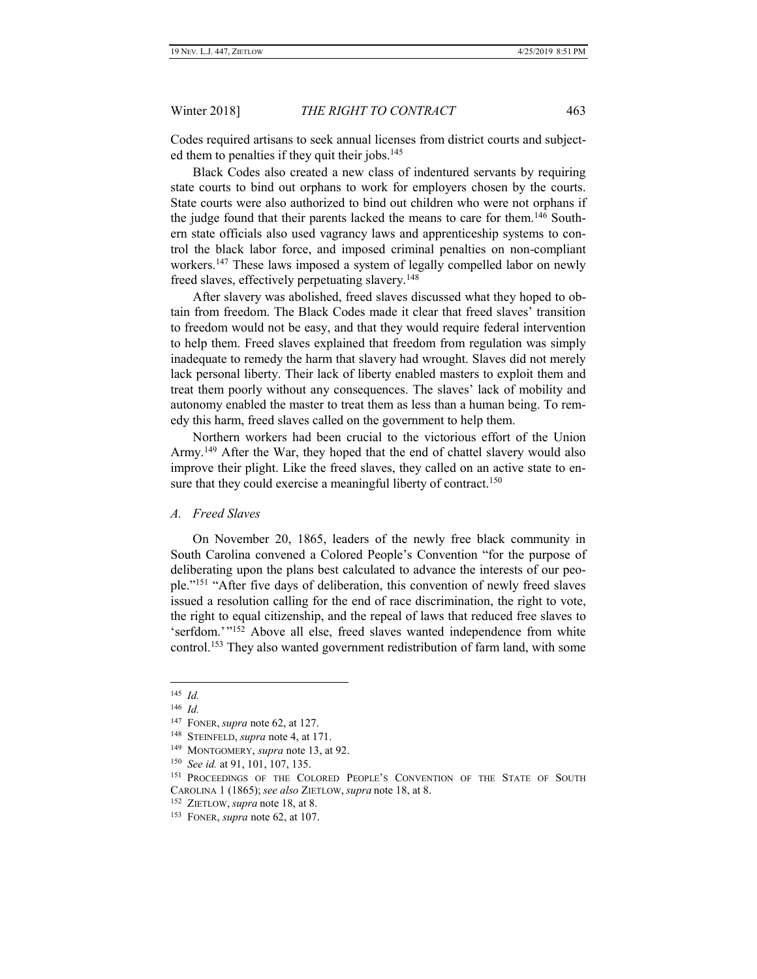Codes required artisans to seek annual licenses from district courts and subjected them to penalties if they quit their jobs.<sup>145</sup>

Black Codes also created a new class of indentured servants by requiring state courts to bind out orphans to work for employers chosen by the courts. State courts were also authorized to bind out children who were not orphans if the judge found that their parents lacked the means to care for them.<sup>146</sup> Southern state officials also used vagrancy laws and apprenticeship systems to control the black labor force, and imposed criminal penalties on non-compliant workers.<sup>147</sup> These laws imposed a system of legally compelled labor on newly freed slaves, effectively perpetuating slavery.<sup>148</sup>

After slavery was abolished, freed slaves discussed what they hoped to obtain from freedom. The Black Codes made it clear that freed slaves' transition to freedom would not be easy, and that they would require federal intervention to help them. Freed slaves explained that freedom from regulation was simply inadequate to remedy the harm that slavery had wrought. Slaves did not merely lack personal liberty. Their lack of liberty enabled masters to exploit them and treat them poorly without any consequences. The slaves' lack of mobility and autonomy enabled the master to treat them as less than a human being. To remedy this harm, freed slaves called on the government to help them.

Northern workers had been crucial to the victorious effort of the Union Army.<sup>149</sup> After the War, they hoped that the end of chattel slavery would also improve their plight. Like the freed slaves, they called on an active state to ensure that they could exercise a meaningful liberty of contract.<sup>150</sup>

*A. Freed Slaves*

On November 20, 1865, leaders of the newly free black community in South Carolina convened a Colored People's Convention "for the purpose of deliberating upon the plans best calculated to advance the interests of our people."<sup>151</sup> "After five days of deliberation, this convention of newly freed slaves issued a resolution calling for the end of race discrimination, the right to vote, the right to equal citizenship, and the repeal of laws that reduced free slaves to 'serfdom.' "<sup>152</sup> Above all else, freed slaves wanted independence from white control.<sup>153</sup> They also wanted government redistribution of farm land, with some

<sup>145</sup> *Id.*

<sup>146</sup> *Id.*

<sup>&</sup>lt;sup>147</sup> FONER, *supra* note 62, at 127.

<sup>148</sup> STEINFELD, *supra* note 4, at 171.

<sup>149</sup> MONTGOMERY, *supra* note 13, at 92.

<sup>150</sup> *See id.* at 91, 101, 107, 135.

<sup>&</sup>lt;sup>151</sup> PROCEEDINGS OF THE COLORED PEOPLE'S CONVENTION OF THE STATE OF SOUTH CAROLINA 1 (1865); *see also* ZIETLOW, *supra* note 18, at 8.

<sup>152</sup> ZIETLOW, *supra* note 18, at 8.

<sup>153</sup> FONER, *supra* note 62, at 107.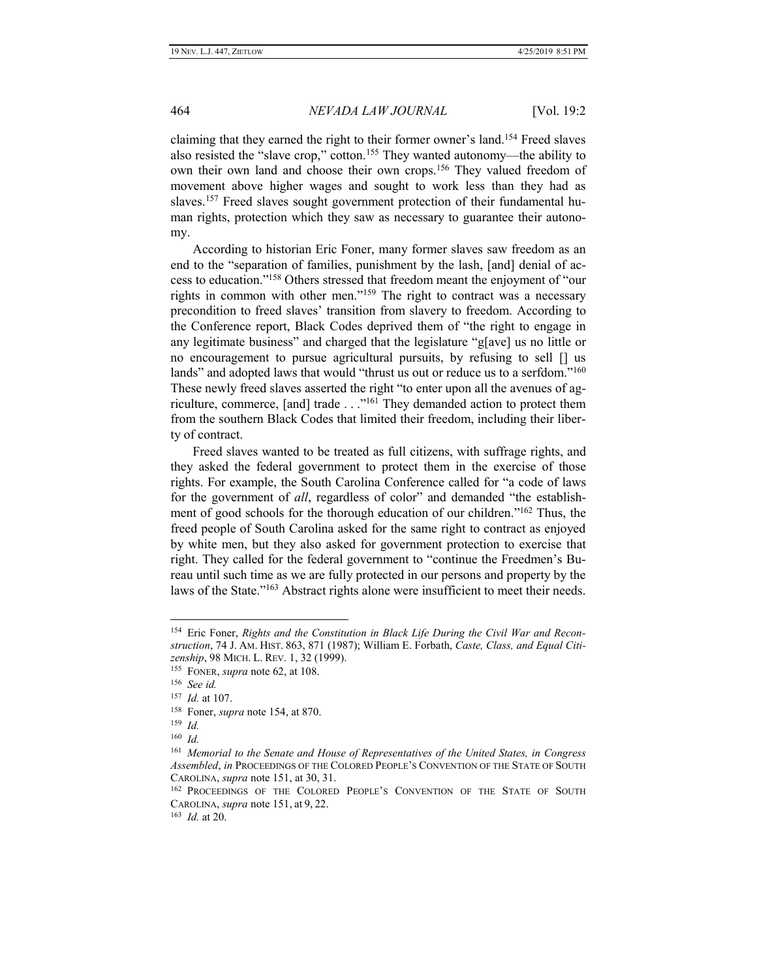claiming that they earned the right to their former owner's land.<sup>154</sup> Freed slaves also resisted the "slave crop," cotton.<sup>155</sup> They wanted autonomy—the ability to own their own land and choose their own crops.<sup>156</sup> They valued freedom of movement above higher wages and sought to work less than they had as slaves.<sup>157</sup> Freed slaves sought government protection of their fundamental human rights, protection which they saw as necessary to guarantee their autonomy.

According to historian Eric Foner, many former slaves saw freedom as an end to the "separation of families, punishment by the lash, [and] denial of access to education."<sup>158</sup> Others stressed that freedom meant the enjoyment of "our rights in common with other men."<sup>159</sup> The right to contract was a necessary precondition to freed slaves' transition from slavery to freedom. According to the Conference report, Black Codes deprived them of "the right to engage in any legitimate business" and charged that the legislature "g[ave] us no little or no encouragement to pursue agricultural pursuits, by refusing to sell [] us lands" and adopted laws that would "thrust us out or reduce us to a serfdom."<sup>160</sup> These newly freed slaves asserted the right "to enter upon all the avenues of agriculture, commerce, [and] trade . . ."<sup>161</sup> They demanded action to protect them from the southern Black Codes that limited their freedom, including their liberty of contract.

Freed slaves wanted to be treated as full citizens, with suffrage rights, and they asked the federal government to protect them in the exercise of those rights. For example, the South Carolina Conference called for "a code of laws for the government of *all*, regardless of color" and demanded "the establishment of good schools for the thorough education of our children."<sup>162</sup> Thus, the freed people of South Carolina asked for the same right to contract as enjoyed by white men, but they also asked for government protection to exercise that right. They called for the federal government to "continue the Freedmen's Bureau until such time as we are fully protected in our persons and property by the laws of the State."<sup>163</sup> Abstract rights alone were insufficient to meet their needs.

<sup>154</sup> Eric Foner, *Rights and the Constitution in Black Life During the Civil War and Reconstruction*, 74 J. AM. HIST. 863, 871 (1987); William E. Forbath, *Caste, Class, and Equal Citizenship*, 98 MICH. L. REV. 1, 32 (1999).

<sup>155</sup> FONER, *supra* note 62, at 108.

<sup>156</sup> *See id.*

<sup>157</sup> *Id.* at 107.

<sup>158</sup> Foner, *supra* note 154, at 870.

<sup>159</sup> *Id.*

<sup>160</sup> *Id.*

<sup>161</sup> *Memorial to the Senate and House of Representatives of the United States, in Congress Assembled*, *in* PROCEEDINGS OF THE COLORED PEOPLE'S CONVENTION OF THE STATE OF SOUTH CAROLINA, *supra* note 151, at 30, 31.

<sup>&</sup>lt;sup>162</sup> PROCEEDINGS OF THE COLORED PEOPLE'S CONVENTION OF THE STATE OF SOUTH CAROLINA, *supra* note 151, at 9, 22.

<sup>163</sup> *Id.* at 20.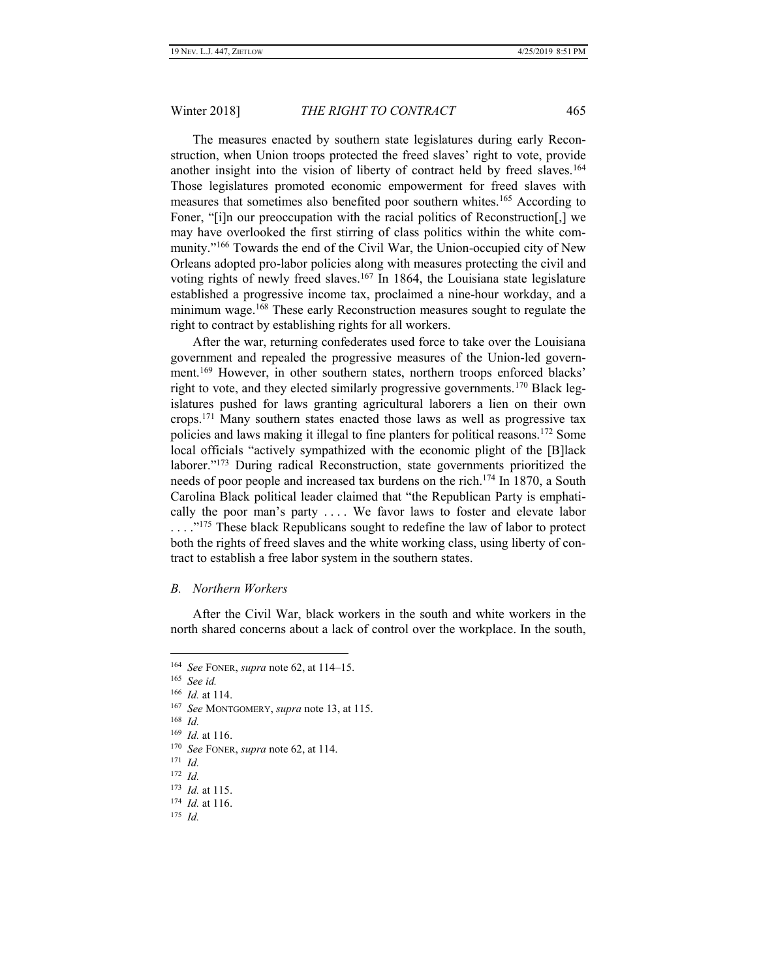The measures enacted by southern state legislatures during early Reconstruction, when Union troops protected the freed slaves' right to vote, provide another insight into the vision of liberty of contract held by freed slaves.<sup>164</sup> Those legislatures promoted economic empowerment for freed slaves with measures that sometimes also benefited poor southern whites.<sup>165</sup> According to Foner, "[i]n our preoccupation with the racial politics of Reconstruction[,] we may have overlooked the first stirring of class politics within the white community."<sup>166</sup> Towards the end of the Civil War, the Union-occupied city of New Orleans adopted pro-labor policies along with measures protecting the civil and voting rights of newly freed slaves.<sup>167</sup> In 1864, the Louisiana state legislature established a progressive income tax, proclaimed a nine-hour workday, and a minimum wage.<sup>168</sup> These early Reconstruction measures sought to regulate the right to contract by establishing rights for all workers.

After the war, returning confederates used force to take over the Louisiana government and repealed the progressive measures of the Union-led government.<sup>169</sup> However, in other southern states, northern troops enforced blacks' right to vote, and they elected similarly progressive governments.<sup>170</sup> Black legislatures pushed for laws granting agricultural laborers a lien on their own crops.<sup>171</sup> Many southern states enacted those laws as well as progressive tax policies and laws making it illegal to fine planters for political reasons.<sup>172</sup> Some local officials "actively sympathized with the economic plight of the [B]lack laborer."<sup>173</sup> During radical Reconstruction, state governments prioritized the needs of poor people and increased tax burdens on the rich.<sup>174</sup> In 1870, a South Carolina Black political leader claimed that "the Republican Party is emphatically the poor man's party . . . . We favor laws to foster and elevate labor ...."<sup>175</sup> These black Republicans sought to redefine the law of labor to protect both the rights of freed slaves and the white working class, using liberty of contract to establish a free labor system in the southern states.

# *B. Northern Workers*

After the Civil War, black workers in the south and white workers in the north shared concerns about a lack of control over the workplace. In the south,

<sup>164</sup> *See* FONER, *supra* note 62, at 114–15.

<sup>165</sup> *See id.*

<sup>166</sup> *Id.* at 114.

<sup>167</sup> *See* MONTGOMERY, *supra* note 13, at 115.

<sup>168</sup> *Id.*

<sup>169</sup> *Id.* at 116.

<sup>170</sup> *See* FONER, *supra* note 62, at 114.

<sup>171</sup> *Id.*

<sup>172</sup> *Id.*

<sup>173</sup> *Id.* at 115.

<sup>174</sup> *Id.* at 116.

<sup>175</sup> *Id.*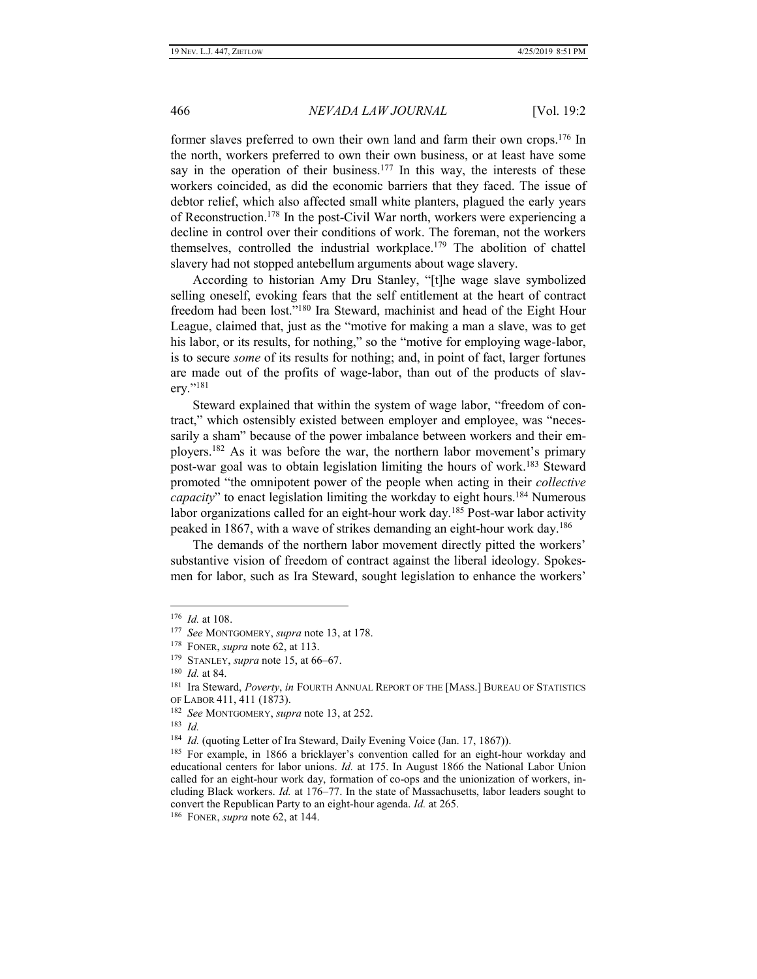former slaves preferred to own their own land and farm their own crops.<sup>176</sup> In the north, workers preferred to own their own business, or at least have some say in the operation of their business.<sup>177</sup> In this way, the interests of these workers coincided, as did the economic barriers that they faced. The issue of debtor relief, which also affected small white planters, plagued the early years of Reconstruction.<sup>178</sup> In the post-Civil War north, workers were experiencing a decline in control over their conditions of work. The foreman, not the workers themselves, controlled the industrial workplace.<sup>179</sup> The abolition of chattel slavery had not stopped antebellum arguments about wage slavery.

According to historian Amy Dru Stanley, "[t]he wage slave symbolized selling oneself, evoking fears that the self entitlement at the heart of contract freedom had been lost."<sup>180</sup> Ira Steward, machinist and head of the Eight Hour League, claimed that, just as the "motive for making a man a slave, was to get his labor, or its results, for nothing," so the "motive for employing wage-labor, is to secure *some* of its results for nothing; and, in point of fact, larger fortunes are made out of the profits of wage-labor, than out of the products of slavery." 181

Steward explained that within the system of wage labor, "freedom of contract," which ostensibly existed between employer and employee, was "necessarily a sham" because of the power imbalance between workers and their employers.<sup>182</sup> As it was before the war, the northern labor movement's primary post-war goal was to obtain legislation limiting the hours of work.<sup>183</sup> Steward promoted "the omnipotent power of the people when acting in their *collective capacity*" to enact legislation limiting the workday to eight hours.<sup>184</sup> Numerous labor organizations called for an eight-hour work day.<sup>185</sup> Post-war labor activity peaked in 1867, with a wave of strikes demanding an eight-hour work day.<sup>186</sup>

The demands of the northern labor movement directly pitted the workers' substantive vision of freedom of contract against the liberal ideology. Spokesmen for labor, such as Ira Steward, sought legislation to enhance the workers'

<sup>176</sup> *Id.* at 108.

<sup>177</sup> *See* MONTGOMERY, *supra* note 13, at 178.

<sup>178</sup> FONER, *supra* note 62, at 113.

<sup>179</sup> STANLEY, *supra* note 15, at 66–67.

<sup>180</sup> *Id.* at 84.

<sup>&</sup>lt;sup>181</sup> Ira Steward, *Poverty*, *in* FOURTH ANNUAL REPORT OF THE [MASS.] BUREAU OF STATISTICS OF LABOR 411, 411 (1873).

<sup>182</sup> *See* MONTGOMERY, *supra* note 13, at 252.

<sup>183</sup> *Id.*

<sup>&</sup>lt;sup>184</sup> Id. (quoting Letter of Ira Steward, Daily Evening Voice (Jan. 17, 1867)).

<sup>&</sup>lt;sup>185</sup> For example, in 1866 a bricklayer's convention called for an eight-hour workday and educational centers for labor unions. *Id.* at 175. In August 1866 the National Labor Union called for an eight-hour work day, formation of co-ops and the unionization of workers, including Black workers. *Id.* at 176–77. In the state of Massachusetts, labor leaders sought to convert the Republican Party to an eight-hour agenda. *Id.* at 265.

<sup>186</sup> FONER, *supra* note 62, at 144.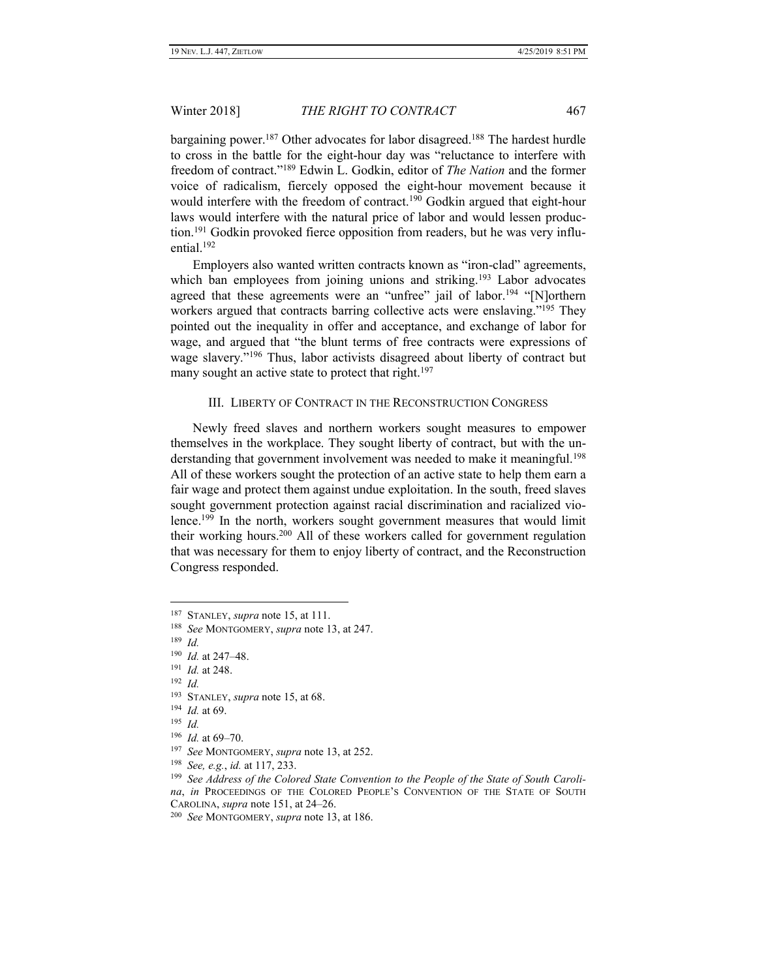bargaining power.<sup>187</sup> Other advocates for labor disagreed.<sup>188</sup> The hardest hurdle to cross in the battle for the eight-hour day was "reluctance to interfere with freedom of contract."<sup>189</sup> Edwin L. Godkin, editor of *The Nation* and the former voice of radicalism, fiercely opposed the eight-hour movement because it would interfere with the freedom of contract.<sup>190</sup> Godkin argued that eight-hour laws would interfere with the natural price of labor and would lessen production.<sup>191</sup> Godkin provoked fierce opposition from readers, but he was very influential.<sup>192</sup>

Employers also wanted written contracts known as "iron-clad" agreements, which ban employees from joining unions and striking.<sup>193</sup> Labor advocates agreed that these agreements were an "unfree" jail of labor.<sup>194</sup> "[N]orthern workers argued that contracts barring collective acts were enslaving."<sup>195</sup> They pointed out the inequality in offer and acceptance, and exchange of labor for wage, and argued that "the blunt terms of free contracts were expressions of wage slavery."<sup>196</sup> Thus, labor activists disagreed about liberty of contract but many sought an active state to protect that right.<sup>197</sup>

# III. LIBERTY OF CONTRACT IN THE RECONSTRUCTION CONGRESS

Newly freed slaves and northern workers sought measures to empower themselves in the workplace. They sought liberty of contract, but with the understanding that government involvement was needed to make it meaningful.<sup>198</sup> All of these workers sought the protection of an active state to help them earn a fair wage and protect them against undue exploitation. In the south, freed slaves sought government protection against racial discrimination and racialized violence.<sup>199</sup> In the north, workers sought government measures that would limit their working hours.<sup>200</sup> All of these workers called for government regulation that was necessary for them to enjoy liberty of contract, and the Reconstruction Congress responded.

 $\overline{a}$ 

191 *Id.* at 248.

- 193 STANLEY, *supra* note 15, at 68.
- 194 *Id.* at 69.

<sup>187</sup> STANLEY, *supra* note 15, at 111.

<sup>188</sup> *See* MONTGOMERY, *supra* note 13, at 247.

<sup>189</sup> *Id.*

<sup>190</sup> *Id.* at 247–48.

<sup>192</sup> *Id.*

<sup>195</sup> *Id.*

<sup>196</sup> *Id.* at 69–70.

<sup>197</sup> *See* MONTGOMERY, *supra* note 13, at 252.

<sup>198</sup> *See, e.g.*, *id.* at 117, 233.

<sup>199</sup> *See Address of the Colored State Convention to the People of the State of South Carolina*, *in* PROCEEDINGS OF THE COLORED PEOPLE'S CONVENTION OF THE STATE OF SOUTH CAROLINA, *supra* note 151, at 24–26.

<sup>200</sup> *See* MONTGOMERY, *supra* note 13, at 186.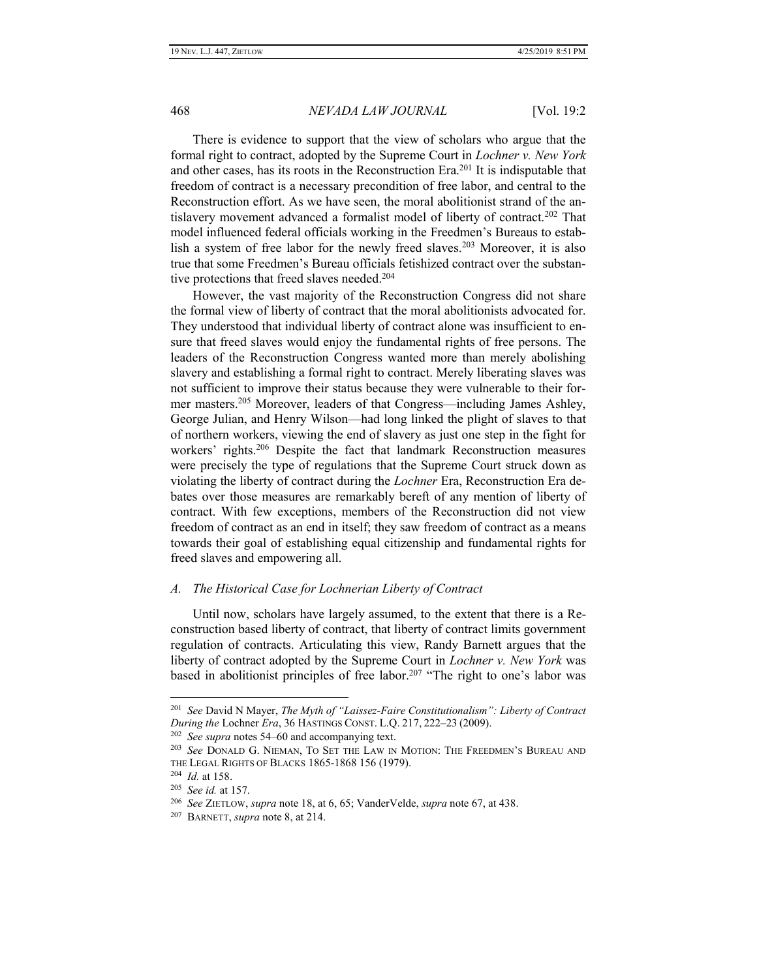There is evidence to support that the view of scholars who argue that the formal right to contract, adopted by the Supreme Court in *Lochner v. New York* and other cases, has its roots in the Reconstruction Era.<sup>201</sup> It is indisputable that freedom of contract is a necessary precondition of free labor, and central to the Reconstruction effort. As we have seen, the moral abolitionist strand of the antislavery movement advanced a formalist model of liberty of contract.<sup>202</sup> That model influenced federal officials working in the Freedmen's Bureaus to establish a system of free labor for the newly freed slaves.<sup>203</sup> Moreover, it is also true that some Freedmen's Bureau officials fetishized contract over the substantive protections that freed slaves needed.<sup>204</sup>

However, the vast majority of the Reconstruction Congress did not share the formal view of liberty of contract that the moral abolitionists advocated for. They understood that individual liberty of contract alone was insufficient to ensure that freed slaves would enjoy the fundamental rights of free persons. The leaders of the Reconstruction Congress wanted more than merely abolishing slavery and establishing a formal right to contract. Merely liberating slaves was not sufficient to improve their status because they were vulnerable to their former masters.<sup>205</sup> Moreover, leaders of that Congress—including James Ashley, George Julian, and Henry Wilson—had long linked the plight of slaves to that of northern workers, viewing the end of slavery as just one step in the fight for workers' rights.<sup>206</sup> Despite the fact that landmark Reconstruction measures were precisely the type of regulations that the Supreme Court struck down as violating the liberty of contract during the *Lochner* Era, Reconstruction Era debates over those measures are remarkably bereft of any mention of liberty of contract. With few exceptions, members of the Reconstruction did not view freedom of contract as an end in itself; they saw freedom of contract as a means towards their goal of establishing equal citizenship and fundamental rights for freed slaves and empowering all.

# *A. The Historical Case for Lochnerian Liberty of Contract*

Until now, scholars have largely assumed, to the extent that there is a Reconstruction based liberty of contract, that liberty of contract limits government regulation of contracts. Articulating this view, Randy Barnett argues that the liberty of contract adopted by the Supreme Court in *Lochner v. New York* was based in abolitionist principles of free labor.<sup>207</sup> "The right to one's labor was

<sup>201</sup> *See* David N Mayer, *The Myth of "Laissez-Faire Constitutionalism": Liberty of Contract During the* Lochner *Era*, 36 HASTINGS CONST. L.Q. 217, 222–23 (2009).

<sup>202</sup> *See supra* notes 54–60 and accompanying text.

<sup>203</sup> *See* DONALD G. NIEMAN, TO SET THE LAW IN MOTION: THE FREEDMEN'S BUREAU AND THE LEGAL RIGHTS OF BLACKS 1865-1868 156 (1979).

<sup>204</sup> *Id.* at 158.

<sup>205</sup> *See id.* at 157.

<sup>206</sup> *See* ZIETLOW, *supra* note 18, at 6, 65; VanderVelde, *supra* note 67, at 438.

<sup>207</sup> BARNETT, *supra* note 8, at 214.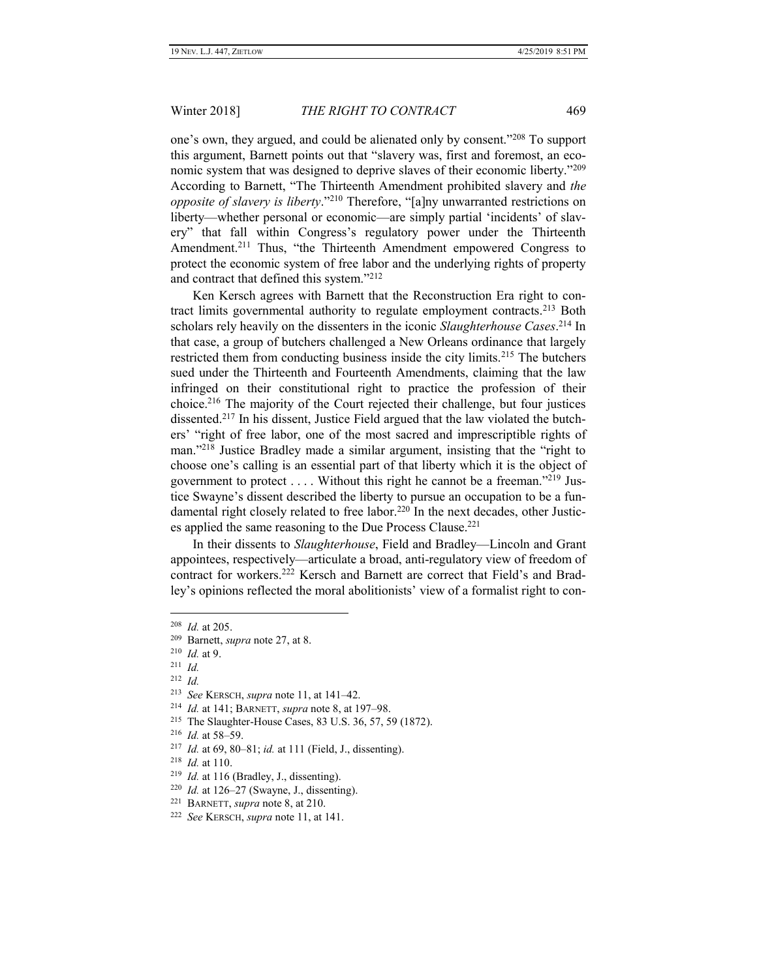one's own, they argued, and could be alienated only by consent."<sup>208</sup> To support this argument, Barnett points out that "slavery was, first and foremost, an economic system that was designed to deprive slaves of their economic liberty."<sup>209</sup> According to Barnett, "The Thirteenth Amendment prohibited slavery and *the opposite of slavery is liberty*."<sup>210</sup> Therefore, "[a]ny unwarranted restrictions on liberty—whether personal or economic—are simply partial 'incidents' of slavery" that fall within Congress's regulatory power under the Thirteenth Amendment.<sup>211</sup> Thus, "the Thirteenth Amendment empowered Congress to protect the economic system of free labor and the underlying rights of property and contract that defined this system."<sup>212</sup>

Ken Kersch agrees with Barnett that the Reconstruction Era right to contract limits governmental authority to regulate employment contracts.<sup>213</sup> Both scholars rely heavily on the dissenters in the iconic *Slaughterhouse Cases*. <sup>214</sup> In that case, a group of butchers challenged a New Orleans ordinance that largely restricted them from conducting business inside the city limits.<sup>215</sup> The butchers sued under the Thirteenth and Fourteenth Amendments, claiming that the law infringed on their constitutional right to practice the profession of their choice.<sup>216</sup> The majority of the Court rejected their challenge, but four justices dissented.<sup>217</sup> In his dissent, Justice Field argued that the law violated the butchers' "right of free labor, one of the most sacred and imprescriptible rights of man."<sup>218</sup> Justice Bradley made a similar argument, insisting that the "right to choose one's calling is an essential part of that liberty which it is the object of government to protect . . . . Without this right he cannot be a freeman."<sup>219</sup> Justice Swayne's dissent described the liberty to pursue an occupation to be a fundamental right closely related to free labor.<sup>220</sup> In the next decades, other Justices applied the same reasoning to the Due Process Clause.<sup>221</sup>

In their dissents to *Slaughterhouse*, Field and Bradley—Lincoln and Grant appointees, respectively—articulate a broad, anti-regulatory view of freedom of contract for workers.<sup>222</sup> Kersch and Barnett are correct that Field's and Bradley's opinions reflected the moral abolitionists' view of a formalist right to con-

- 217 *Id.* at 69, 80–81; *id.* at 111 (Field, J., dissenting).
- 218 *Id.* at 110.

- $^{220}$  *Id.* at 126–27 (Swayne, J., dissenting).
- 221 BARNETT, *supra* note 8, at 210.
- 222 *See* KERSCH, *supra* note 11, at 141.

<sup>208</sup> *Id.* at 205.

<sup>209</sup> Barnett, *supra* note 27, at 8.

<sup>210</sup> *Id.* at 9.

<sup>211</sup> *Id.*

<sup>212</sup> *Id.*

<sup>213</sup> *See* KERSCH, *supra* note 11, at 141–42.

<sup>214</sup> *Id.* at 141; BARNETT, *supra* note 8, at 197–98.

<sup>&</sup>lt;sup>215</sup> The Slaughter-House Cases, 83 U.S. 36, 57, 59 (1872).

<sup>216</sup> *Id.* at 58–59.

<sup>219</sup> *Id.* at 116 (Bradley, J., dissenting).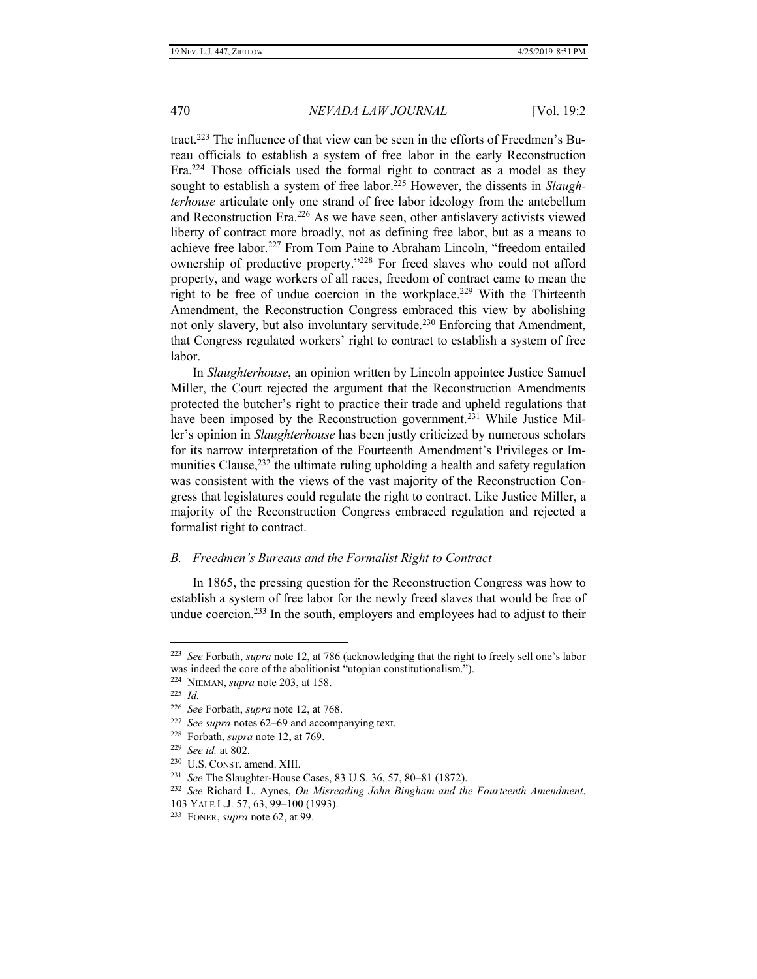tract.<sup>223</sup> The influence of that view can be seen in the efforts of Freedmen's Bureau officials to establish a system of free labor in the early Reconstruction Era.<sup>224</sup> Those officials used the formal right to contract as a model as they sought to establish a system of free labor.<sup>225</sup> However, the dissents in *Slaughterhouse* articulate only one strand of free labor ideology from the antebellum and Reconstruction Era.<sup>226</sup> As we have seen, other antislavery activists viewed liberty of contract more broadly, not as defining free labor, but as a means to achieve free labor.<sup>227</sup> From Tom Paine to Abraham Lincoln, "freedom entailed ownership of productive property."<sup>228</sup> For freed slaves who could not afford property, and wage workers of all races, freedom of contract came to mean the right to be free of undue coercion in the workplace.<sup>229</sup> With the Thirteenth Amendment, the Reconstruction Congress embraced this view by abolishing not only slavery, but also involuntary servitude.<sup>230</sup> Enforcing that Amendment, that Congress regulated workers' right to contract to establish a system of free labor.

In *Slaughterhouse*, an opinion written by Lincoln appointee Justice Samuel Miller, the Court rejected the argument that the Reconstruction Amendments protected the butcher's right to practice their trade and upheld regulations that have been imposed by the Reconstruction government.<sup>231</sup> While Justice Miller's opinion in *Slaughterhouse* has been justly criticized by numerous scholars for its narrow interpretation of the Fourteenth Amendment's Privileges or Immunities Clause,  $232$  the ultimate ruling upholding a health and safety regulation was consistent with the views of the vast majority of the Reconstruction Congress that legislatures could regulate the right to contract. Like Justice Miller, a majority of the Reconstruction Congress embraced regulation and rejected a formalist right to contract.

# *B. Freedmen's Bureaus and the Formalist Right to Contract*

In 1865, the pressing question for the Reconstruction Congress was how to establish a system of free labor for the newly freed slaves that would be free of undue coercion.<sup>233</sup> In the south, employers and employees had to adjust to their

<sup>223</sup> *See* Forbath, *supra* note 12, at 786 (acknowledging that the right to freely sell one's labor was indeed the core of the abolitionist "utopian constitutionalism.").

<sup>224</sup> NIEMAN, *supra* note 203, at 158.

<sup>225</sup> *Id.*

<sup>226</sup> *See* Forbath, *supra* note 12, at 768.

<sup>227</sup> *See supra* notes 62–69 and accompanying text.

<sup>228</sup> Forbath, *supra* note 12, at 769.

<sup>229</sup> *See id.* at 802.

<sup>230</sup> U.S. CONST. amend. XIII.

<sup>231</sup> *See* The Slaughter-House Cases, 83 U.S. 36, 57, 80–81 (1872).

<sup>232</sup> *See* Richard L. Aynes, *On Misreading John Bingham and the Fourteenth Amendment*,

<sup>103</sup> YALE L.J. 57, 63, 99–100 (1993).

<sup>233</sup> FONER, *supra* note 62, at 99.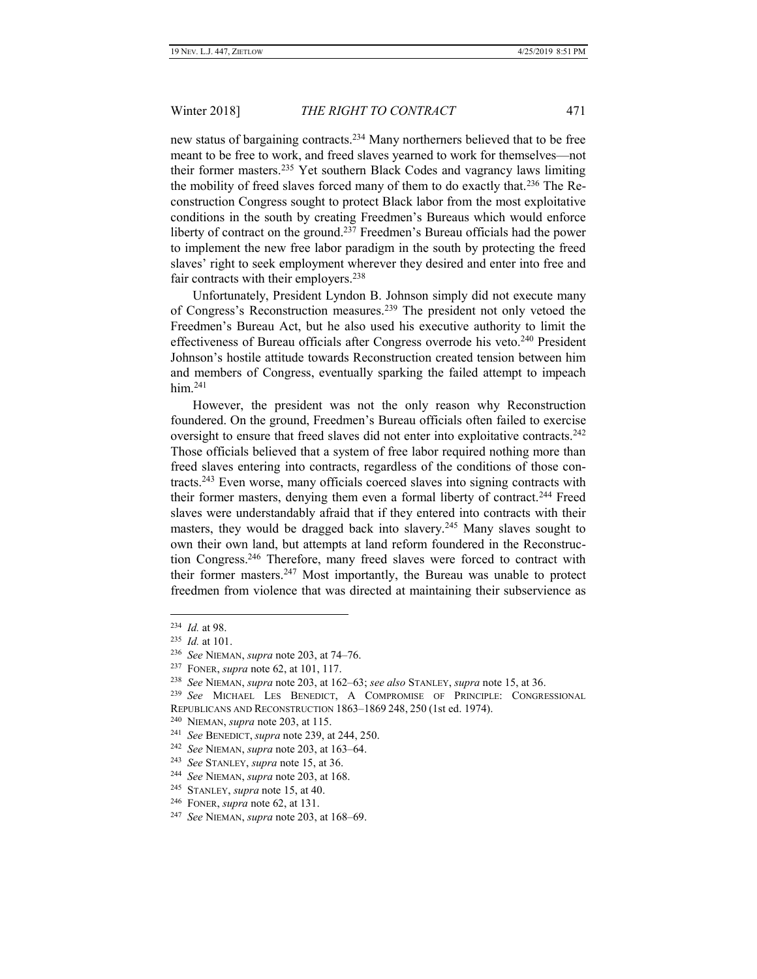new status of bargaining contracts.<sup>234</sup> Many northerners believed that to be free meant to be free to work, and freed slaves yearned to work for themselves—not their former masters.<sup>235</sup> Yet southern Black Codes and vagrancy laws limiting the mobility of freed slaves forced many of them to do exactly that.<sup>236</sup> The Reconstruction Congress sought to protect Black labor from the most exploitative conditions in the south by creating Freedmen's Bureaus which would enforce liberty of contract on the ground.<sup>237</sup> Freedmen's Bureau officials had the power to implement the new free labor paradigm in the south by protecting the freed slaves' right to seek employment wherever they desired and enter into free and fair contracts with their employers.<sup>238</sup>

Unfortunately, President Lyndon B. Johnson simply did not execute many of Congress's Reconstruction measures.<sup>239</sup> The president not only vetoed the Freedmen's Bureau Act, but he also used his executive authority to limit the effectiveness of Bureau officials after Congress overrode his veto.<sup>240</sup> President Johnson's hostile attitude towards Reconstruction created tension between him and members of Congress, eventually sparking the failed attempt to impeach him.<sup>241</sup>

However, the president was not the only reason why Reconstruction foundered. On the ground, Freedmen's Bureau officials often failed to exercise oversight to ensure that freed slaves did not enter into exploitative contracts.<sup>242</sup> Those officials believed that a system of free labor required nothing more than freed slaves entering into contracts, regardless of the conditions of those contracts.<sup>243</sup> Even worse, many officials coerced slaves into signing contracts with their former masters, denying them even a formal liberty of contract.<sup>244</sup> Freed slaves were understandably afraid that if they entered into contracts with their masters, they would be dragged back into slavery.<sup>245</sup> Many slaves sought to own their own land, but attempts at land reform foundered in the Reconstruction Congress.<sup>246</sup> Therefore, many freed slaves were forced to contract with their former masters.<sup>247</sup> Most importantly, the Bureau was unable to protect freedmen from violence that was directed at maintaining their subservience as

<sup>234</sup>  *Id.* at 98.

<sup>235</sup> *Id.* at 101.

<sup>236</sup>  *See* NIEMAN, *supra* note 203, at 74–76.

<sup>237</sup> FONER, *supra* note 62, at 101, 117.

<sup>238</sup> *See* NIEMAN, *supra* note 203, at 162–63; *see also* STANLEY, *supra* note 15, at 36.

<sup>239</sup> *See* MICHAEL LES BENEDICT, A COMPROMISE OF PRINCIPLE: CONGRESSIONAL

REPUBLICANS AND RECONSTRUCTION 1863–1869 248, 250 (1st ed. 1974).

<sup>240</sup> NIEMAN, *supra* note 203, at 115.

<sup>241</sup> *See* BENEDICT, *supra* note 239, at 244, 250.

<sup>242</sup> *See* NIEMAN, *supra* note 203, at 163–64.

<sup>243</sup> *See* STANLEY, *supra* note 15, at 36.

<sup>244</sup> *See* NIEMAN, *supra* note 203, at 168.

<sup>245</sup> STANLEY, *supra* note 15, at 40.

<sup>246</sup> FONER, *supra* note 62, at 131.

<sup>247</sup> *See* NIEMAN, *supra* note 203, at 168–69.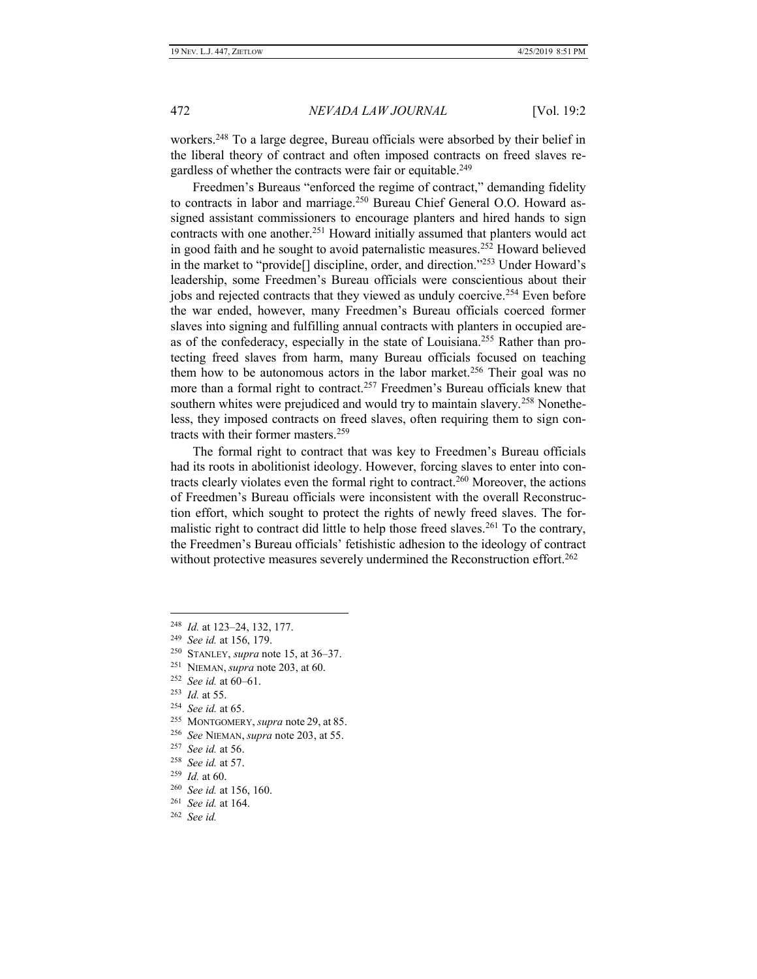workers.<sup>248</sup> To a large degree, Bureau officials were absorbed by their belief in the liberal theory of contract and often imposed contracts on freed slaves regardless of whether the contracts were fair or equitable.<sup>249</sup>

Freedmen's Bureaus "enforced the regime of contract," demanding fidelity to contracts in labor and marriage.<sup>250</sup> Bureau Chief General O.O. Howard assigned assistant commissioners to encourage planters and hired hands to sign contracts with one another.<sup>251</sup> Howard initially assumed that planters would act in good faith and he sought to avoid paternalistic measures.<sup>252</sup> Howard believed in the market to "provide[] discipline, order, and direction."<sup>253</sup> Under Howard's leadership, some Freedmen's Bureau officials were conscientious about their jobs and rejected contracts that they viewed as unduly coercive.<sup>254</sup> Even before the war ended, however, many Freedmen's Bureau officials coerced former slaves into signing and fulfilling annual contracts with planters in occupied areas of the confederacy, especially in the state of Louisiana.<sup>255</sup> Rather than protecting freed slaves from harm, many Bureau officials focused on teaching them how to be autonomous actors in the labor market.<sup>256</sup> Their goal was no more than a formal right to contract.<sup>257</sup> Freedmen's Bureau officials knew that southern whites were prejudiced and would try to maintain slavery.<sup>258</sup> Nonetheless, they imposed contracts on freed slaves, often requiring them to sign contracts with their former masters.<sup>259</sup>

The formal right to contract that was key to Freedmen's Bureau officials had its roots in abolitionist ideology. However, forcing slaves to enter into contracts clearly violates even the formal right to contract.<sup>260</sup> Moreover, the actions of Freedmen's Bureau officials were inconsistent with the overall Reconstruction effort, which sought to protect the rights of newly freed slaves. The formalistic right to contract did little to help those freed slaves.<sup>261</sup> To the contrary, the Freedmen's Bureau officials' fetishistic adhesion to the ideology of contract without protective measures severely undermined the Reconstruction effort.<sup>262</sup>

251 NIEMAN, *supra* note 203, at 60.

- 255 MONTGOMERY, *supra* note 29, at 85.
- 256 *See* NIEMAN, *supra* note 203, at 55.
- 257 *See id.* at 56.
- 258 *See id.* at 57.
- 259 *Id.* at 60.
- 260 *See id.* at 156, 160.
- 261 *See id.* at 164.
- 262 *See id.*

<sup>248</sup> *Id.* at 123–24, 132, 177.

<sup>249</sup> *See id.* at 156, 179.

<sup>250</sup> STANLEY, *supra* note 15, at 36–37.

<sup>252</sup> *See id.* at 60–61.

<sup>253</sup> *Id.* at 55.

<sup>254</sup> *See id.* at 65.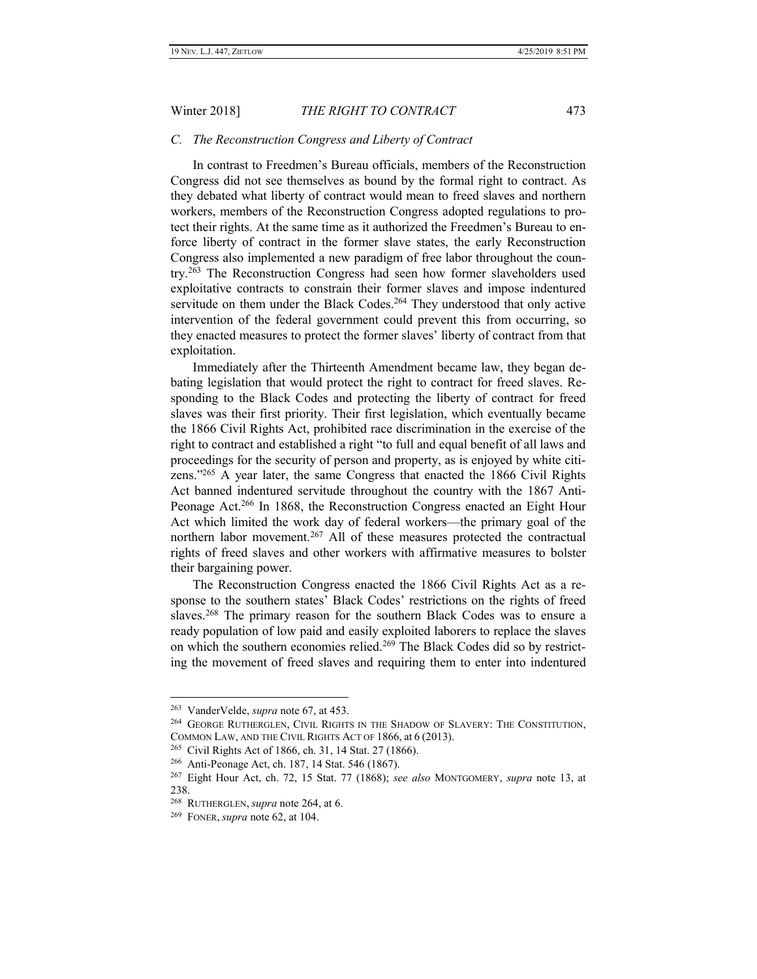# *C. The Reconstruction Congress and Liberty of Contract*

In contrast to Freedmen's Bureau officials, members of the Reconstruction Congress did not see themselves as bound by the formal right to contract. As they debated what liberty of contract would mean to freed slaves and northern workers, members of the Reconstruction Congress adopted regulations to protect their rights. At the same time as it authorized the Freedmen's Bureau to enforce liberty of contract in the former slave states, the early Reconstruction Congress also implemented a new paradigm of free labor throughout the country.<sup>263</sup> The Reconstruction Congress had seen how former slaveholders used exploitative contracts to constrain their former slaves and impose indentured servitude on them under the Black Codes.<sup>264</sup> They understood that only active intervention of the federal government could prevent this from occurring, so they enacted measures to protect the former slaves' liberty of contract from that exploitation.

Immediately after the Thirteenth Amendment became law, they began debating legislation that would protect the right to contract for freed slaves. Responding to the Black Codes and protecting the liberty of contract for freed slaves was their first priority. Their first legislation, which eventually became the 1866 Civil Rights Act, prohibited race discrimination in the exercise of the right to contract and established a right "to full and equal benefit of all laws and proceedings for the security of person and property, as is enjoyed by white citizens."<sup>265</sup> A year later, the same Congress that enacted the 1866 Civil Rights Act banned indentured servitude throughout the country with the 1867 Anti-Peonage Act.<sup>266</sup> In 1868, the Reconstruction Congress enacted an Eight Hour Act which limited the work day of federal workers—the primary goal of the northern labor movement.<sup>267</sup> All of these measures protected the contractual rights of freed slaves and other workers with affirmative measures to bolster their bargaining power.

The Reconstruction Congress enacted the 1866 Civil Rights Act as a response to the southern states' Black Codes' restrictions on the rights of freed slaves.<sup>268</sup> The primary reason for the southern Black Codes was to ensure a ready population of low paid and easily exploited laborers to replace the slaves on which the southern economies relied.<sup>269</sup> The Black Codes did so by restricting the movement of freed slaves and requiring them to enter into indentured

<sup>263</sup> VanderVelde, *supra* note 67, at 453.

<sup>&</sup>lt;sup>264</sup> GEORGE RUTHERGLEN, CIVIL RIGHTS IN THE SHADOW OF SLAVERY: THE CONSTITUTION, COMMON LAW, AND THE CIVIL RIGHTS ACT OF 1866, at 6 (2013).

<sup>265</sup> Civil Rights Act of 1866, ch. 31, 14 Stat. 27 (1866).

<sup>266</sup> Anti-Peonage Act, ch. 187, 14 Stat. 546 (1867).

<sup>267</sup> Eight Hour Act, ch. 72, 15 Stat. 77 (1868); *see also* MONTGOMERY, *supra* note 13, at 238.

<sup>268</sup> RUTHERGLEN, *supra* note 264, at 6.

<sup>269</sup> FONER, *supra* note 62, at 104.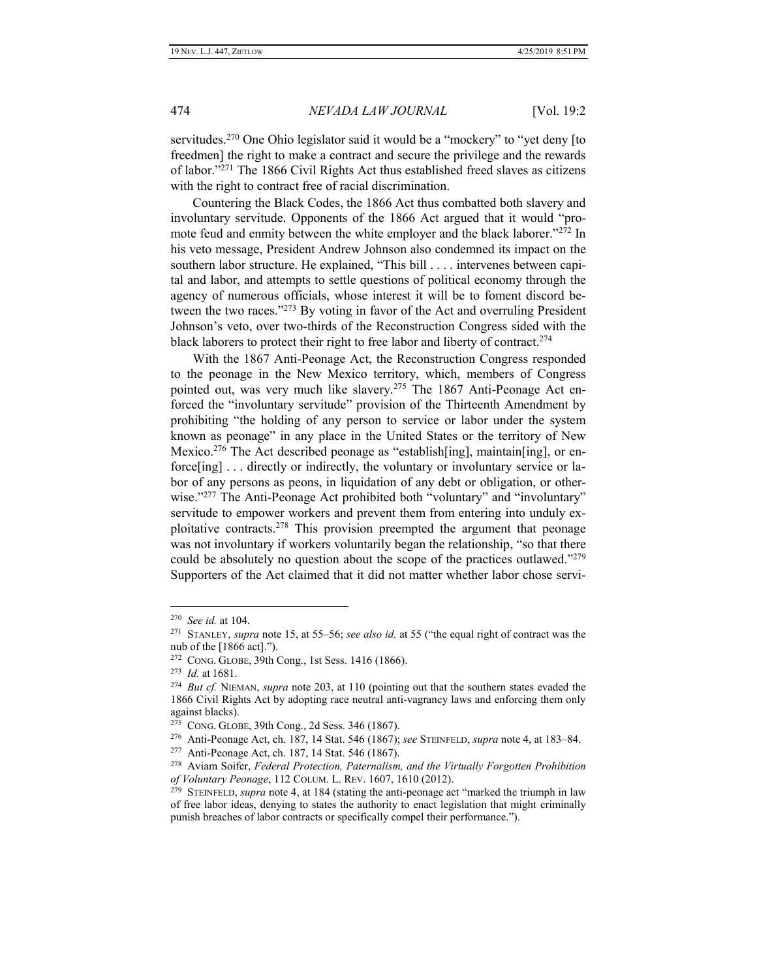servitudes.<sup>270</sup> One Ohio legislator said it would be a "mockery" to "yet deny [to freedmen] the right to make a contract and secure the privilege and the rewards of labor."<sup>271</sup> The 1866 Civil Rights Act thus established freed slaves as citizens with the right to contract free of racial discrimination.

Countering the Black Codes, the 1866 Act thus combatted both slavery and involuntary servitude. Opponents of the 1866 Act argued that it would "promote feud and enmity between the white employer and the black laborer."<sup>272</sup> In his veto message, President Andrew Johnson also condemned its impact on the southern labor structure. He explained, "This bill . . . . intervenes between capital and labor, and attempts to settle questions of political economy through the agency of numerous officials, whose interest it will be to foment discord between the two races."<sup>273</sup> By voting in favor of the Act and overruling President Johnson's veto, over two-thirds of the Reconstruction Congress sided with the black laborers to protect their right to free labor and liberty of contract.<sup>274</sup>

With the 1867 Anti-Peonage Act, the Reconstruction Congress responded to the peonage in the New Mexico territory, which, members of Congress pointed out, was very much like slavery.<sup>275</sup> The 1867 Anti-Peonage Act enforced the "involuntary servitude" provision of the Thirteenth Amendment by prohibiting "the holding of any person to service or labor under the system known as peonage" in any place in the United States or the territory of New Mexico.<sup>276</sup> The Act described peonage as "establish[ing], maintain[ing], or enforce[ing] . . . directly or indirectly, the voluntary or involuntary service or labor of any persons as peons, in liquidation of any debt or obligation, or otherwise."<sup>277</sup> The Anti-Peonage Act prohibited both "voluntary" and "involuntary" servitude to empower workers and prevent them from entering into unduly exploitative contracts.<sup>278</sup> This provision preempted the argument that peonage was not involuntary if workers voluntarily began the relationship, "so that there could be absolutely no question about the scope of the practices outlawed."<sup>279</sup> Supporters of the Act claimed that it did not matter whether labor chose servi-

<sup>270</sup> *See id.* at 104.

<sup>271</sup> STANLEY, *supra* note 15, at 55–56; *see also id.* at 55 ("the equal right of contract was the nub of the [1866 act].").

<sup>272</sup> CONG. GLOBE, 39th Cong., 1st Sess. 1416 (1866).

<sup>273</sup> *Id.* at 1681.

<sup>274</sup> *But cf.* NIEMAN, *supra* note 203, at 110 (pointing out that the southern states evaded the 1866 Civil Rights Act by adopting race neutral anti-vagrancy laws and enforcing them only against blacks).

<sup>275</sup> CONG. GLOBE, 39th Cong., 2d Sess. 346 (1867).

<sup>276</sup> Anti-Peonage Act, ch. 187, 14 Stat. 546 (1867); *see* STEINFELD, *supra* note 4, at 183–84.

<sup>&</sup>lt;sup>277</sup> Anti-Peonage Act, ch. 187, 14 Stat. 546 (1867).

<sup>278</sup> Aviam Soifer, *Federal Protection, Paternalism, and the Virtually Forgotten Prohibition of Voluntary Peonage*, 112 COLUM. L. REV. 1607, 1610 (2012).

<sup>279</sup> STEINFELD, *supra* note 4, at 184 (stating the anti-peonage act "marked the triumph in law of free labor ideas, denying to states the authority to enact legislation that might criminally punish breaches of labor contracts or specifically compel their performance.").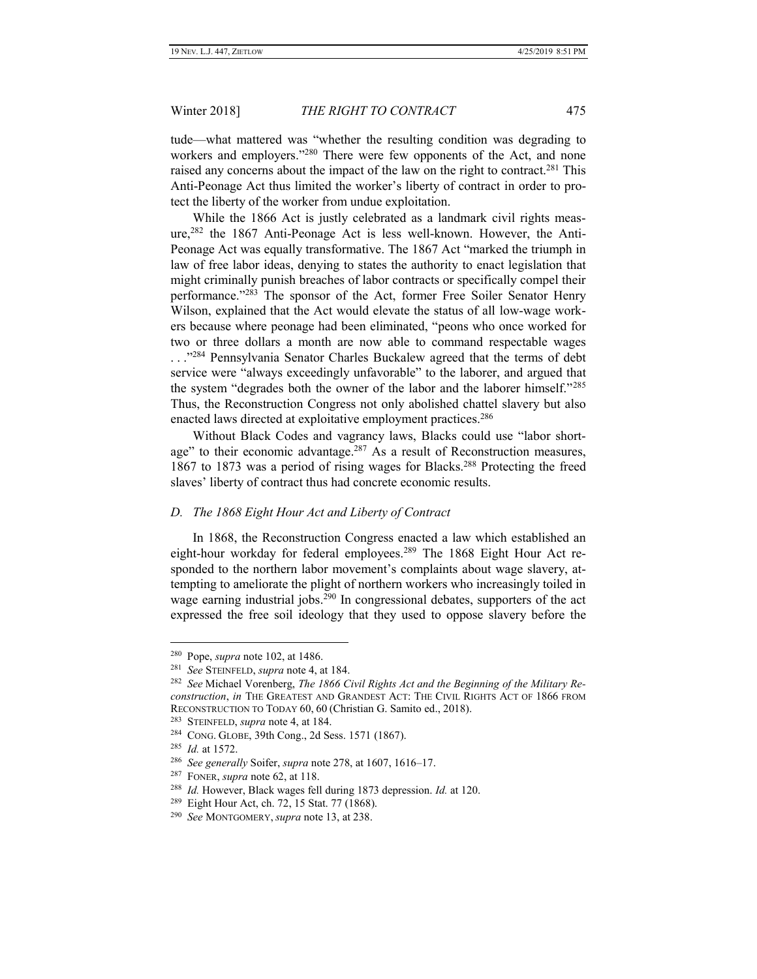tude—what mattered was "whether the resulting condition was degrading to workers and employers."<sup>280</sup> There were few opponents of the Act, and none raised any concerns about the impact of the law on the right to contract.<sup>281</sup> This Anti-Peonage Act thus limited the worker's liberty of contract in order to protect the liberty of the worker from undue exploitation.

While the 1866 Act is justly celebrated as a landmark civil rights measure,<sup>282</sup> the 1867 Anti-Peonage Act is less well-known. However, the Anti-Peonage Act was equally transformative. The 1867 Act "marked the triumph in law of free labor ideas, denying to states the authority to enact legislation that might criminally punish breaches of labor contracts or specifically compel their performance."<sup>283</sup> The sponsor of the Act, former Free Soiler Senator Henry Wilson, explained that the Act would elevate the status of all low-wage workers because where peonage had been eliminated, "peons who once worked for two or three dollars a month are now able to command respectable wages ..."<sup>284</sup> Pennsylvania Senator Charles Buckalew agreed that the terms of debt service were "always exceedingly unfavorable" to the laborer, and argued that the system "degrades both the owner of the labor and the laborer himself."285 Thus, the Reconstruction Congress not only abolished chattel slavery but also enacted laws directed at exploitative employment practices.<sup>286</sup>

Without Black Codes and vagrancy laws, Blacks could use "labor shortage" to their economic advantage. $287$  As a result of Reconstruction measures, 1867 to 1873 was a period of rising wages for Blacks.<sup>288</sup> Protecting the freed slaves' liberty of contract thus had concrete economic results.

### *D. The 1868 Eight Hour Act and Liberty of Contract*

In 1868, the Reconstruction Congress enacted a law which established an eight-hour workday for federal employees.<sup>289</sup> The 1868 Eight Hour Act responded to the northern labor movement's complaints about wage slavery, attempting to ameliorate the plight of northern workers who increasingly toiled in wage earning industrial jobs.<sup>290</sup> In congressional debates, supporters of the act expressed the free soil ideology that they used to oppose slavery before the

<sup>280</sup> Pope, *supra* note 102, at 1486.

<sup>281</sup> *See* STEINFELD, *supra* note 4, at 184.

<sup>282</sup> *See* Michael Vorenberg, *The 1866 Civil Rights Act and the Beginning of the Military Reconstruction*, *in* THE GREATEST AND GRANDEST ACT: THE CIVIL RIGHTS ACT OF 1866 FROM RECONSTRUCTION TO TODAY 60, 60 (Christian G. Samito ed., 2018).

<sup>283</sup> STEINFELD, *supra* note 4, at 184.

<sup>284</sup> CONG. GLOBE, 39th Cong., 2d Sess. 1571 (1867).

<sup>285</sup> *Id.* at 1572.

<sup>286</sup> *See generally* Soifer, *supra* note 278, at 1607, 1616–17.

<sup>287</sup> FONER, *supra* note 62, at 118.

<sup>288</sup> *Id.* However, Black wages fell during 1873 depression. *Id.* at 120.

<sup>&</sup>lt;sup>289</sup> Eight Hour Act, ch. 72, 15 Stat. 77 (1868).

<sup>290</sup> *See* MONTGOMERY, *supra* note 13, at 238.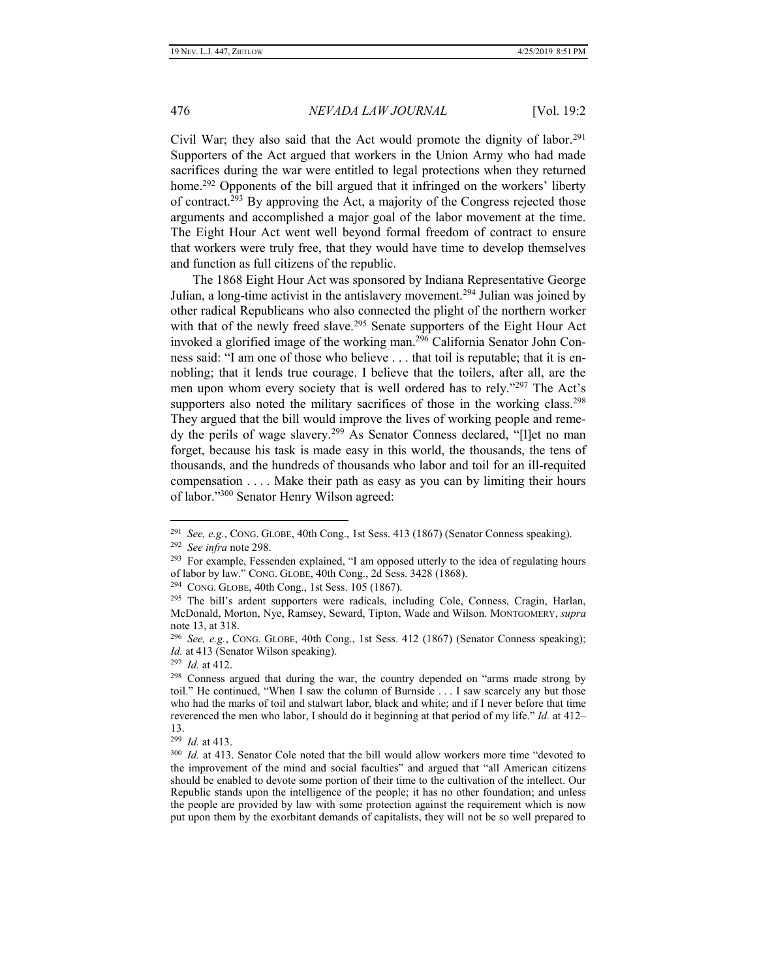Civil War; they also said that the Act would promote the dignity of labor.<sup>291</sup> Supporters of the Act argued that workers in the Union Army who had made sacrifices during the war were entitled to legal protections when they returned home.<sup>292</sup> Opponents of the bill argued that it infringed on the workers' liberty of contract.<sup>293</sup> By approving the Act, a majority of the Congress rejected those arguments and accomplished a major goal of the labor movement at the time. The Eight Hour Act went well beyond formal freedom of contract to ensure that workers were truly free, that they would have time to develop themselves and function as full citizens of the republic.

The 1868 Eight Hour Act was sponsored by Indiana Representative George Julian, a long-time activist in the antislavery movement.<sup>294</sup> Julian was joined by other radical Republicans who also connected the plight of the northern worker with that of the newly freed slave.<sup>295</sup> Senate supporters of the Eight Hour Act invoked a glorified image of the working man.<sup>296</sup> California Senator John Conness said: "I am one of those who believe . . . that toil is reputable; that it is ennobling; that it lends true courage. I believe that the toilers, after all, are the men upon whom every society that is well ordered has to rely."297 The Act's supporters also noted the military sacrifices of those in the working class.<sup>298</sup> They argued that the bill would improve the lives of working people and remedy the perils of wage slavery.<sup>299</sup> As Senator Conness declared, "[l]et no man forget, because his task is made easy in this world, the thousands, the tens of thousands, and the hundreds of thousands who labor and toil for an ill-requited compensation . . . . Make their path as easy as you can by limiting their hours of labor."<sup>300</sup> Senator Henry Wilson agreed:

<sup>291</sup> *See, e.g.*, CONG. GLOBE, 40th Cong., 1st Sess. 413 (1867) (Senator Conness speaking).

<sup>292</sup> *See infra* note 298.

<sup>&</sup>lt;sup>293</sup> For example, Fessenden explained, "I am opposed utterly to the idea of regulating hours of labor by law." CONG. GLOBE, 40th Cong., 2d Sess. 3428 (1868).

<sup>294</sup> CONG. GLOBE, 40th Cong., 1st Sess. 105 (1867).

<sup>&</sup>lt;sup>295</sup> The bill's ardent supporters were radicals, including Cole, Conness, Cragin, Harlan, McDonald, Morton, Nye, Ramsey, Seward, Tipton, Wade and Wilson. MONTGOMERY, *supra* note 13, at 318.

<sup>296</sup> *See, e.g.*, CONG. GLOBE, 40th Cong., 1st Sess. 412 (1867) (Senator Conness speaking); *Id.* at 413 (Senator Wilson speaking).

<sup>297</sup> *Id.* at 412.

<sup>&</sup>lt;sup>298</sup> Conness argued that during the war, the country depended on "arms made strong by toil." He continued, "When I saw the column of Burnside . . . I saw scarcely any but those who had the marks of toil and stalwart labor, black and white; and if I never before that time reverenced the men who labor, I should do it beginning at that period of my life." *Id.* at 412– 13.

<sup>299</sup> *Id.* at 413.

<sup>&</sup>lt;sup>300</sup> Id. at 413. Senator Cole noted that the bill would allow workers more time "devoted to the improvement of the mind and social faculties" and argued that "all American citizens should be enabled to devote some portion of their time to the cultivation of the intellect. Our Republic stands upon the intelligence of the people; it has no other foundation; and unless the people are provided by law with some protection against the requirement which is now put upon them by the exorbitant demands of capitalists, they will not be so well prepared to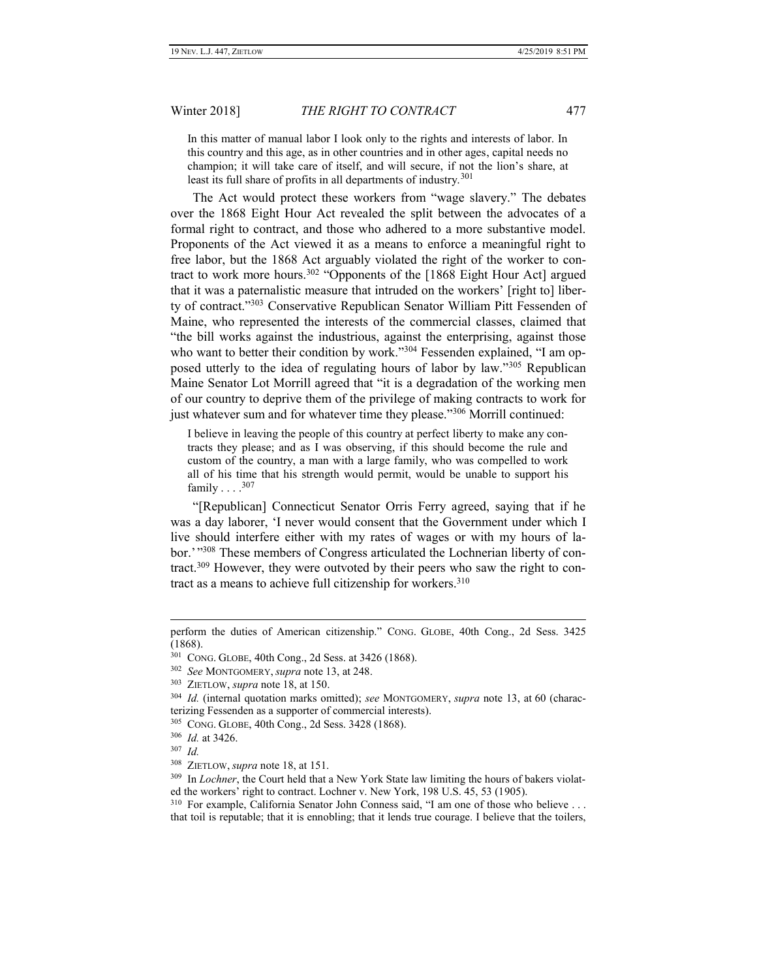In this matter of manual labor I look only to the rights and interests of labor. In this country and this age, as in other countries and in other ages, capital needs no champion; it will take care of itself, and will secure, if not the lion's share, at least its full share of profits in all departments of industry.<sup>301</sup>

The Act would protect these workers from "wage slavery." The debates over the 1868 Eight Hour Act revealed the split between the advocates of a formal right to contract, and those who adhered to a more substantive model. Proponents of the Act viewed it as a means to enforce a meaningful right to free labor, but the 1868 Act arguably violated the right of the worker to contract to work more hours.<sup>302</sup> "Opponents of the [1868 Eight Hour Act] argued that it was a paternalistic measure that intruded on the workers' [right to] liberty of contract."<sup>303</sup> Conservative Republican Senator William Pitt Fessenden of Maine, who represented the interests of the commercial classes, claimed that "the bill works against the industrious, against the enterprising, against those who want to better their condition by work."304 Fessenden explained, "I am opposed utterly to the idea of regulating hours of labor by law."<sup>305</sup> Republican Maine Senator Lot Morrill agreed that "it is a degradation of the working men of our country to deprive them of the privilege of making contracts to work for just whatever sum and for whatever time they please."<sup>306</sup> Morrill continued:

I believe in leaving the people of this country at perfect liberty to make any contracts they please; and as I was observing, if this should become the rule and custom of the country, a man with a large family, who was compelled to work all of his time that his strength would permit, would be unable to support his family  $\ldots$  .<sup>307</sup>

"[Republican] Connecticut Senator Orris Ferry agreed, saying that if he was a day laborer, 'I never would consent that the Government under which I live should interfere either with my rates of wages or with my hours of labor.' "308 These members of Congress articulated the Lochnerian liberty of contract.<sup>309</sup> However, they were outvoted by their peers who saw the right to contract as a means to achieve full citizenship for workers.<sup>310</sup>

perform the duties of American citizenship." CONG. GLOBE, 40th Cong., 2d Sess. 3425 (1868).

<sup>301</sup> CONG. GLOBE, 40th Cong., 2d Sess. at 3426 (1868).

<sup>302</sup> *See* MONTGOMERY, *supra* note 13, at 248.

<sup>303</sup> ZIETLOW, *supra* note 18, at 150.

<sup>304</sup> *Id.* (internal quotation marks omitted); *see* MONTGOMERY, *supra* note 13, at 60 (characterizing Fessenden as a supporter of commercial interests).

<sup>305</sup> CONG. GLOBE, 40th Cong., 2d Sess. 3428 (1868).

<sup>306</sup> *Id.* at 3426.

<sup>307</sup> *Id.*

<sup>308</sup> ZIETLOW, *supra* note 18, at 151.

<sup>309</sup> In *Lochner*, the Court held that a New York State law limiting the hours of bakers violated the workers' right to contract. Lochner v. New York, 198 U.S. 45, 53 (1905).

<sup>&</sup>lt;sup>310</sup> For example, California Senator John Conness said, "I am one of those who believe . . . that toil is reputable; that it is ennobling; that it lends true courage. I believe that the toilers,